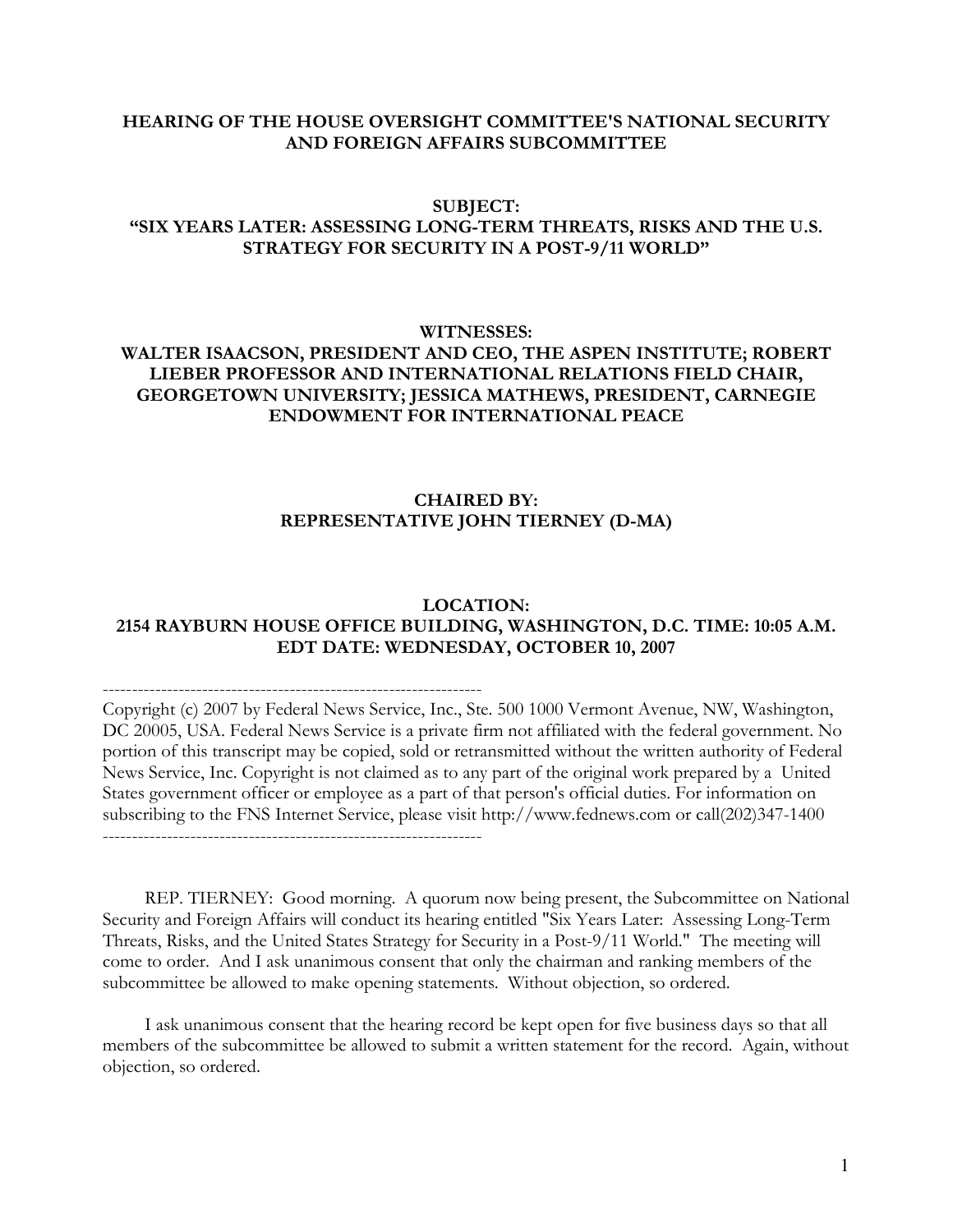## HEARING OF THE HOUSE OVERSIGHT COMMITTEE'S NATIONAL SECURITY AND FOREIGN AFFAIRS SUBCOMMITTEE

## SUBJECT:

### "SIX YEARS LATER: ASSESSING LONG-TERM THREATS, RISKS AND THE U.S. STRATEGY FOR SECURITY IN A POST-9/11 WORLD"

#### WITNESSES:

# WALTER ISAACSON, PRESIDENT AND CEO, THE ASPEN INSTITUTE; ROBERT LIEBER PROFESSOR AND INTERNATIONAL RELATIONS FIELD CHAIR, GEORGETOWN UNIVERSITY; JESSICA MATHEWS, PRESIDENT, CARNEGIE ENDOWMENT FOR INTERNATIONAL PEACE

# CHAIRED BY: REPRESENTATIVE JOHN TIERNEY (D-MA)

#### LOCATION: 2154 RAYBURN HOUSE OFFICE BUILDING, WASHINGTON, D.C. TIME: 10:05 A.M. EDT DATE: WEDNESDAY, OCTOBER 10, 2007

-----------------------------------------------------------------

Copyright (c) 2007 by Federal News Service, Inc., Ste. 500 1000 Vermont Avenue, NW, Washington, DC 20005, USA. Federal News Service is a private firm not affiliated with the federal government. No portion of this transcript may be copied, sold or retransmitted without the written authority of Federal News Service, Inc. Copyright is not claimed as to any part of the original work prepared by a United States government officer or employee as a part of that person's official duties. For information on subscribing to the FNS Internet Service, please visit http://www.fednews.com or call(202)347-1400 -----------------------------------------------------------------

 REP. TIERNEY: Good morning. A quorum now being present, the Subcommittee on National Security and Foreign Affairs will conduct its hearing entitled "Six Years Later: Assessing Long-Term Threats, Risks, and the United States Strategy for Security in a Post-9/11 World." The meeting will come to order. And I ask unanimous consent that only the chairman and ranking members of the subcommittee be allowed to make opening statements. Without objection, so ordered.

 I ask unanimous consent that the hearing record be kept open for five business days so that all members of the subcommittee be allowed to submit a written statement for the record. Again, without objection, so ordered.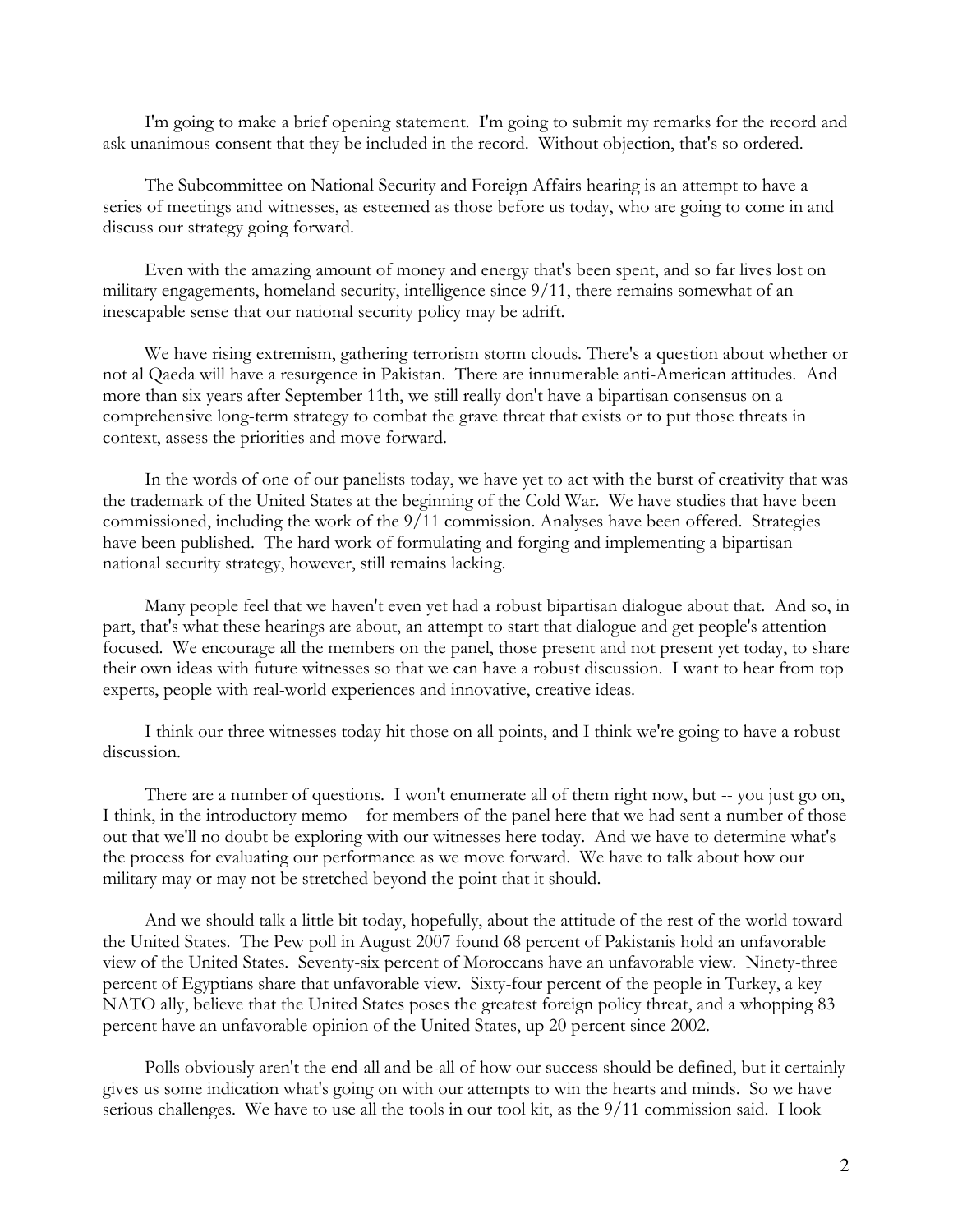I'm going to make a brief opening statement. I'm going to submit my remarks for the record and ask unanimous consent that they be included in the record. Without objection, that's so ordered.

 The Subcommittee on National Security and Foreign Affairs hearing is an attempt to have a series of meetings and witnesses, as esteemed as those before us today, who are going to come in and discuss our strategy going forward.

 Even with the amazing amount of money and energy that's been spent, and so far lives lost on military engagements, homeland security, intelligence since 9/11, there remains somewhat of an inescapable sense that our national security policy may be adrift.

 We have rising extremism, gathering terrorism storm clouds. There's a question about whether or not al Qaeda will have a resurgence in Pakistan. There are innumerable anti-American attitudes. And more than six years after September 11th, we still really don't have a bipartisan consensus on a comprehensive long-term strategy to combat the grave threat that exists or to put those threats in context, assess the priorities and move forward.

 In the words of one of our panelists today, we have yet to act with the burst of creativity that was the trademark of the United States at the beginning of the Cold War. We have studies that have been commissioned, including the work of the 9/11 commission. Analyses have been offered. Strategies have been published. The hard work of formulating and forging and implementing a bipartisan national security strategy, however, still remains lacking.

 Many people feel that we haven't even yet had a robust bipartisan dialogue about that. And so, in part, that's what these hearings are about, an attempt to start that dialogue and get people's attention focused. We encourage all the members on the panel, those present and not present yet today, to share their own ideas with future witnesses so that we can have a robust discussion. I want to hear from top experts, people with real-world experiences and innovative, creative ideas.

 I think our three witnesses today hit those on all points, and I think we're going to have a robust discussion.

 There are a number of questions. I won't enumerate all of them right now, but -- you just go on, I think, in the introductory memo for members of the panel here that we had sent a number of those out that we'll no doubt be exploring with our witnesses here today. And we have to determine what's the process for evaluating our performance as we move forward. We have to talk about how our military may or may not be stretched beyond the point that it should.

 And we should talk a little bit today, hopefully, about the attitude of the rest of the world toward the United States. The Pew poll in August 2007 found 68 percent of Pakistanis hold an unfavorable view of the United States. Seventy-six percent of Moroccans have an unfavorable view. Ninety-three percent of Egyptians share that unfavorable view. Sixty-four percent of the people in Turkey, a key NATO ally, believe that the United States poses the greatest foreign policy threat, and a whopping 83 percent have an unfavorable opinion of the United States, up 20 percent since 2002.

 Polls obviously aren't the end-all and be-all of how our success should be defined, but it certainly gives us some indication what's going on with our attempts to win the hearts and minds. So we have serious challenges. We have to use all the tools in our tool kit, as the 9/11 commission said. I look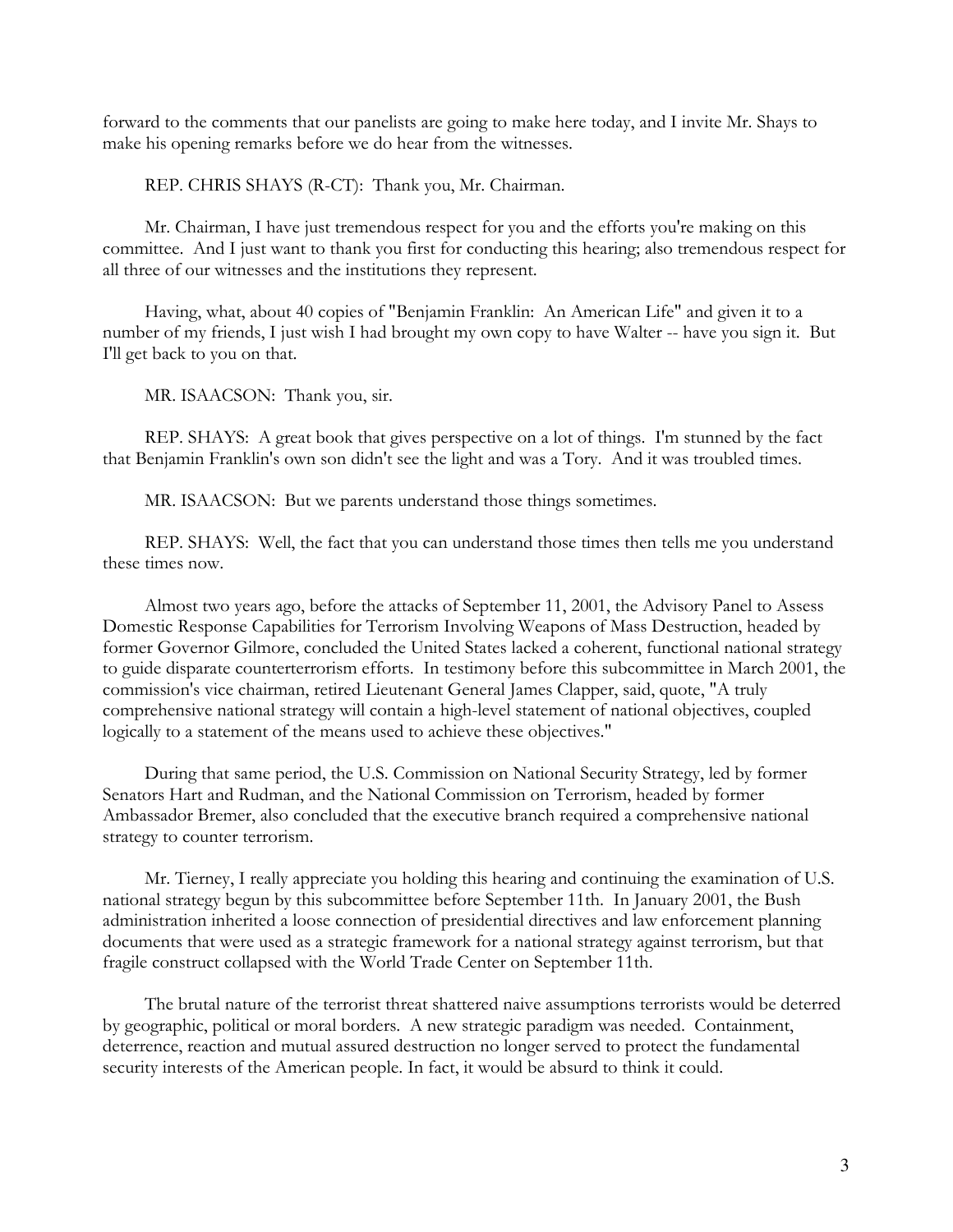forward to the comments that our panelists are going to make here today, and I invite Mr. Shays to make his opening remarks before we do hear from the witnesses.

REP. CHRIS SHAYS (R-CT): Thank you, Mr. Chairman.

 Mr. Chairman, I have just tremendous respect for you and the efforts you're making on this committee. And I just want to thank you first for conducting this hearing; also tremendous respect for all three of our witnesses and the institutions they represent.

 Having, what, about 40 copies of "Benjamin Franklin: An American Life" and given it to a number of my friends, I just wish I had brought my own copy to have Walter -- have you sign it. But I'll get back to you on that.

MR. ISAACSON: Thank you, sir.

 REP. SHAYS: A great book that gives perspective on a lot of things. I'm stunned by the fact that Benjamin Franklin's own son didn't see the light and was a Tory. And it was troubled times.

MR. ISAACSON: But we parents understand those things sometimes.

 REP. SHAYS: Well, the fact that you can understand those times then tells me you understand these times now.

 Almost two years ago, before the attacks of September 11, 2001, the Advisory Panel to Assess Domestic Response Capabilities for Terrorism Involving Weapons of Mass Destruction, headed by former Governor Gilmore, concluded the United States lacked a coherent, functional national strategy to guide disparate counterterrorism efforts. In testimony before this subcommittee in March 2001, the commission's vice chairman, retired Lieutenant General James Clapper, said, quote, "A truly comprehensive national strategy will contain a high-level statement of national objectives, coupled logically to a statement of the means used to achieve these objectives."

 During that same period, the U.S. Commission on National Security Strategy, led by former Senators Hart and Rudman, and the National Commission on Terrorism, headed by former Ambassador Bremer, also concluded that the executive branch required a comprehensive national strategy to counter terrorism.

 Mr. Tierney, I really appreciate you holding this hearing and continuing the examination of U.S. national strategy begun by this subcommittee before September 11th. In January 2001, the Bush administration inherited a loose connection of presidential directives and law enforcement planning documents that were used as a strategic framework for a national strategy against terrorism, but that fragile construct collapsed with the World Trade Center on September 11th.

 The brutal nature of the terrorist threat shattered naive assumptions terrorists would be deterred by geographic, political or moral borders. A new strategic paradigm was needed. Containment, deterrence, reaction and mutual assured destruction no longer served to protect the fundamental security interests of the American people. In fact, it would be absurd to think it could.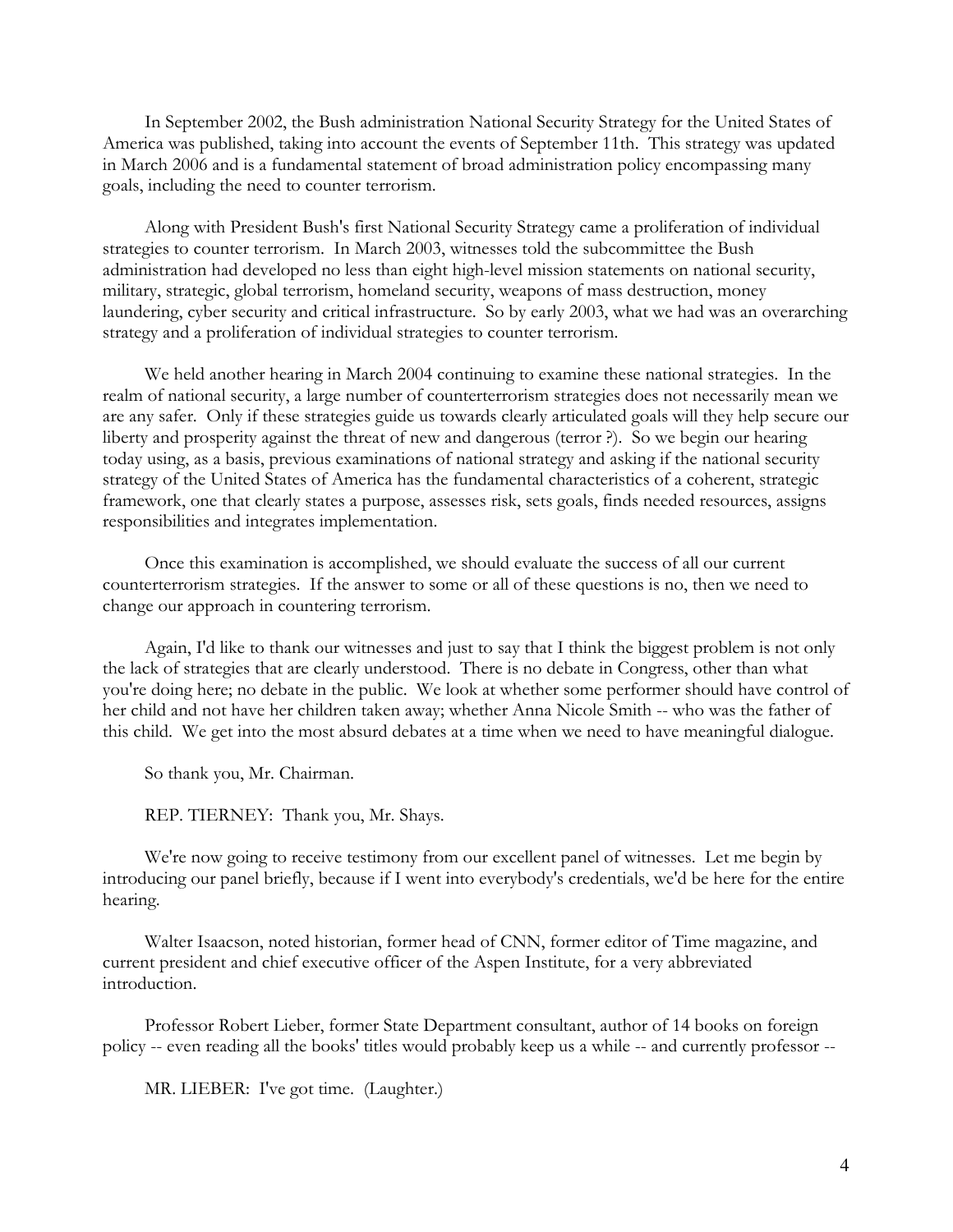In September 2002, the Bush administration National Security Strategy for the United States of America was published, taking into account the events of September 11th. This strategy was updated in March 2006 and is a fundamental statement of broad administration policy encompassing many goals, including the need to counter terrorism.

 Along with President Bush's first National Security Strategy came a proliferation of individual strategies to counter terrorism. In March 2003, witnesses told the subcommittee the Bush administration had developed no less than eight high-level mission statements on national security, military, strategic, global terrorism, homeland security, weapons of mass destruction, money laundering, cyber security and critical infrastructure. So by early 2003, what we had was an overarching strategy and a proliferation of individual strategies to counter terrorism.

 We held another hearing in March 2004 continuing to examine these national strategies. In the realm of national security, a large number of counterterrorism strategies does not necessarily mean we are any safer. Only if these strategies guide us towards clearly articulated goals will they help secure our liberty and prosperity against the threat of new and dangerous (terror ?). So we begin our hearing today using, as a basis, previous examinations of national strategy and asking if the national security strategy of the United States of America has the fundamental characteristics of a coherent, strategic framework, one that clearly states a purpose, assesses risk, sets goals, finds needed resources, assigns responsibilities and integrates implementation.

 Once this examination is accomplished, we should evaluate the success of all our current counterterrorism strategies. If the answer to some or all of these questions is no, then we need to change our approach in countering terrorism.

 Again, I'd like to thank our witnesses and just to say that I think the biggest problem is not only the lack of strategies that are clearly understood. There is no debate in Congress, other than what you're doing here; no debate in the public. We look at whether some performer should have control of her child and not have her children taken away; whether Anna Nicole Smith -- who was the father of this child. We get into the most absurd debates at a time when we need to have meaningful dialogue.

So thank you, Mr. Chairman.

REP. TIERNEY: Thank you, Mr. Shays.

 We're now going to receive testimony from our excellent panel of witnesses. Let me begin by introducing our panel briefly, because if I went into everybody's credentials, we'd be here for the entire hearing.

 Walter Isaacson, noted historian, former head of CNN, former editor of Time magazine, and current president and chief executive officer of the Aspen Institute, for a very abbreviated introduction.

 Professor Robert Lieber, former State Department consultant, author of 14 books on foreign policy -- even reading all the books' titles would probably keep us a while -- and currently professor --

MR. LIEBER: I've got time. (Laughter.)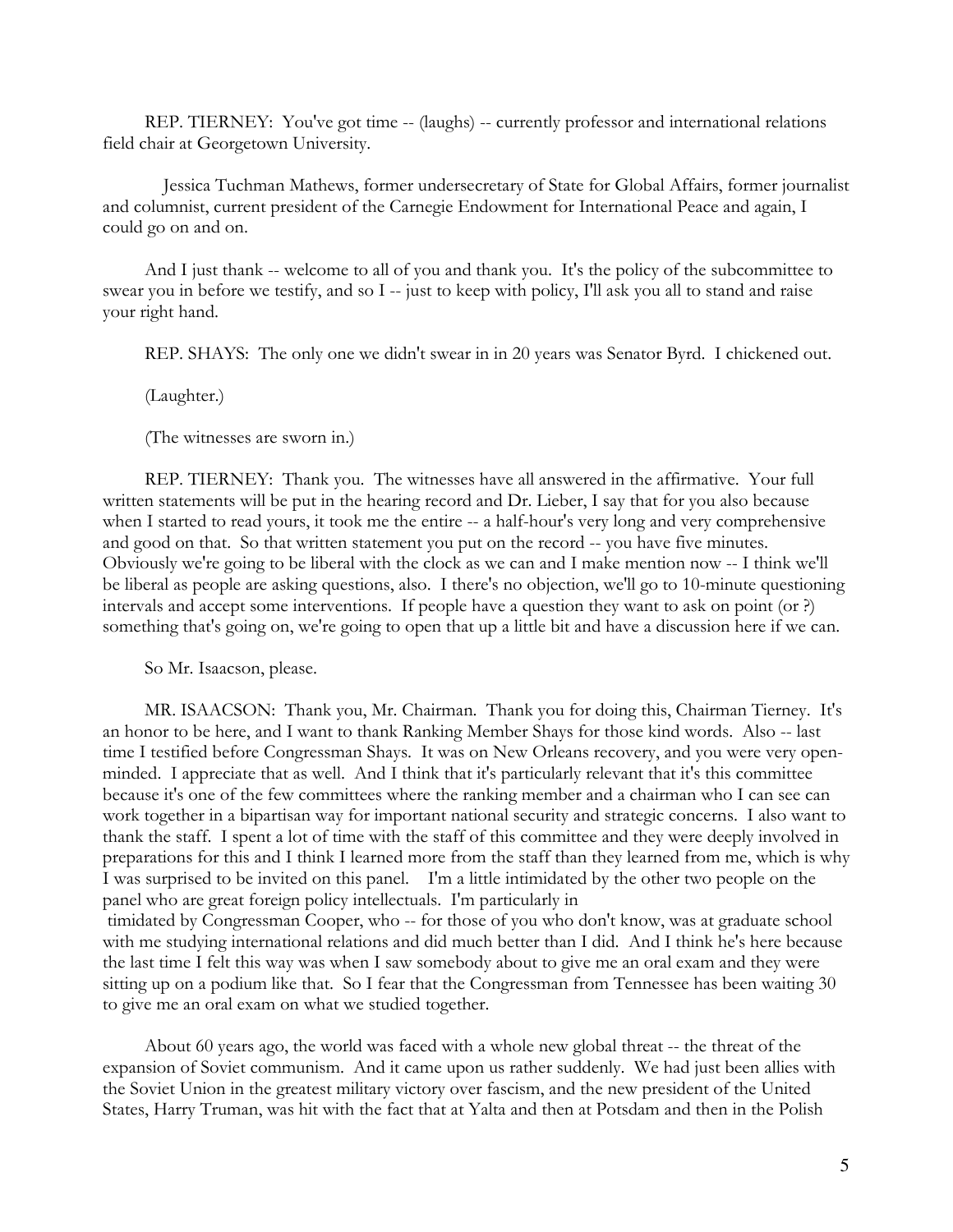REP. TIERNEY: You've got time -- (laughs) -- currently professor and international relations field chair at Georgetown University.

 Jessica Tuchman Mathews, former undersecretary of State for Global Affairs, former journalist and columnist, current president of the Carnegie Endowment for International Peace and again, I could go on and on.

 And I just thank -- welcome to all of you and thank you. It's the policy of the subcommittee to swear you in before we testify, and so I -- just to keep with policy, I'll ask you all to stand and raise your right hand.

REP. SHAYS: The only one we didn't swear in in 20 years was Senator Byrd. I chickened out.

(Laughter.)

(The witnesses are sworn in.)

 REP. TIERNEY: Thank you. The witnesses have all answered in the affirmative. Your full written statements will be put in the hearing record and Dr. Lieber, I say that for you also because when I started to read yours, it took me the entire -- a half-hour's very long and very comprehensive and good on that. So that written statement you put on the record -- you have five minutes. Obviously we're going to be liberal with the clock as we can and I make mention now -- I think we'll be liberal as people are asking questions, also. I there's no objection, we'll go to 10-minute questioning intervals and accept some interventions. If people have a question they want to ask on point (or ?) something that's going on, we're going to open that up a little bit and have a discussion here if we can.

So Mr. Isaacson, please.

to give me an oral exam on what we studied together.

 MR. ISAACSON: Thank you, Mr. Chairman. Thank you for doing this, Chairman Tierney. It's an honor to be here, and I want to thank Ranking Member Shays for those kind words. Also -- last time I testified before Congressman Shays. It was on New Orleans recovery, and you were very openminded. I appreciate that as well. And I think that it's particularly relevant that it's this committee because it's one of the few committees where the ranking member and a chairman who I can see can work together in a bipartisan way for important national security and strategic concerns. I also want to thank the staff. I spent a lot of time with the staff of this committee and they were deeply involved in preparations for this and I think I learned more from the staff than they learned from me, which is why I was surprised to be invited on this panel. I'm a little intimidated by the other two people on the panel who are great foreign policy intellectuals. I'm particularly in timidated by Congressman Cooper, who -- for those of you who don't know, was at graduate school with me studying international relations and did much better than I did. And I think he's here because the last time I felt this way was when I saw somebody about to give me an oral exam and they were sitting up on a podium like that. So I fear that the Congressman from Tennessee has been waiting 30

 About 60 years ago, the world was faced with a whole new global threat -- the threat of the expansion of Soviet communism. And it came upon us rather suddenly. We had just been allies with the Soviet Union in the greatest military victory over fascism, and the new president of the United States, Harry Truman, was hit with the fact that at Yalta and then at Potsdam and then in the Polish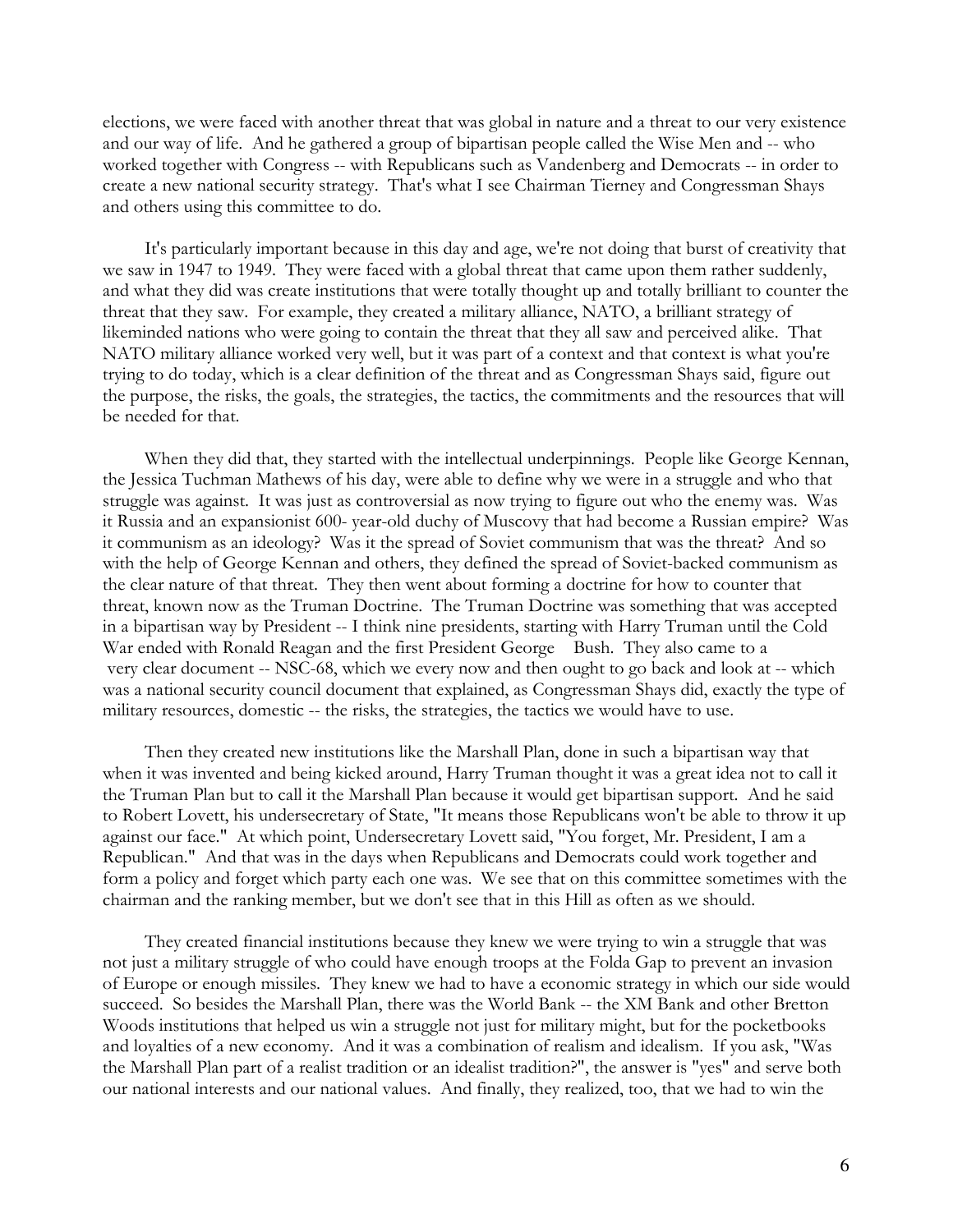elections, we were faced with another threat that was global in nature and a threat to our very existence and our way of life. And he gathered a group of bipartisan people called the Wise Men and -- who worked together with Congress -- with Republicans such as Vandenberg and Democrats -- in order to create a new national security strategy. That's what I see Chairman Tierney and Congressman Shays and others using this committee to do.

 It's particularly important because in this day and age, we're not doing that burst of creativity that we saw in 1947 to 1949. They were faced with a global threat that came upon them rather suddenly, and what they did was create institutions that were totally thought up and totally brilliant to counter the threat that they saw. For example, they created a military alliance, NATO, a brilliant strategy of likeminded nations who were going to contain the threat that they all saw and perceived alike. That NATO military alliance worked very well, but it was part of a context and that context is what you're trying to do today, which is a clear definition of the threat and as Congressman Shays said, figure out the purpose, the risks, the goals, the strategies, the tactics, the commitments and the resources that will be needed for that.

 When they did that, they started with the intellectual underpinnings. People like George Kennan, the Jessica Tuchman Mathews of his day, were able to define why we were in a struggle and who that struggle was against. It was just as controversial as now trying to figure out who the enemy was. Was it Russia and an expansionist 600- year-old duchy of Muscovy that had become a Russian empire? Was it communism as an ideology? Was it the spread of Soviet communism that was the threat? And so with the help of George Kennan and others, they defined the spread of Soviet-backed communism as the clear nature of that threat. They then went about forming a doctrine for how to counter that threat, known now as the Truman Doctrine. The Truman Doctrine was something that was accepted in a bipartisan way by President -- I think nine presidents, starting with Harry Truman until the Cold War ended with Ronald Reagan and the first President George Bush. They also came to a very clear document -- NSC-68, which we every now and then ought to go back and look at -- which was a national security council document that explained, as Congressman Shays did, exactly the type of military resources, domestic -- the risks, the strategies, the tactics we would have to use.

 Then they created new institutions like the Marshall Plan, done in such a bipartisan way that when it was invented and being kicked around, Harry Truman thought it was a great idea not to call it the Truman Plan but to call it the Marshall Plan because it would get bipartisan support. And he said to Robert Lovett, his undersecretary of State, "It means those Republicans won't be able to throw it up against our face." At which point, Undersecretary Lovett said, "You forget, Mr. President, I am a Republican." And that was in the days when Republicans and Democrats could work together and form a policy and forget which party each one was. We see that on this committee sometimes with the chairman and the ranking member, but we don't see that in this Hill as often as we should.

 They created financial institutions because they knew we were trying to win a struggle that was not just a military struggle of who could have enough troops at the Folda Gap to prevent an invasion of Europe or enough missiles. They knew we had to have a economic strategy in which our side would succeed. So besides the Marshall Plan, there was the World Bank -- the XM Bank and other Bretton Woods institutions that helped us win a struggle not just for military might, but for the pocketbooks and loyalties of a new economy. And it was a combination of realism and idealism. If you ask, "Was the Marshall Plan part of a realist tradition or an idealist tradition?", the answer is "yes" and serve both our national interests and our national values. And finally, they realized, too, that we had to win the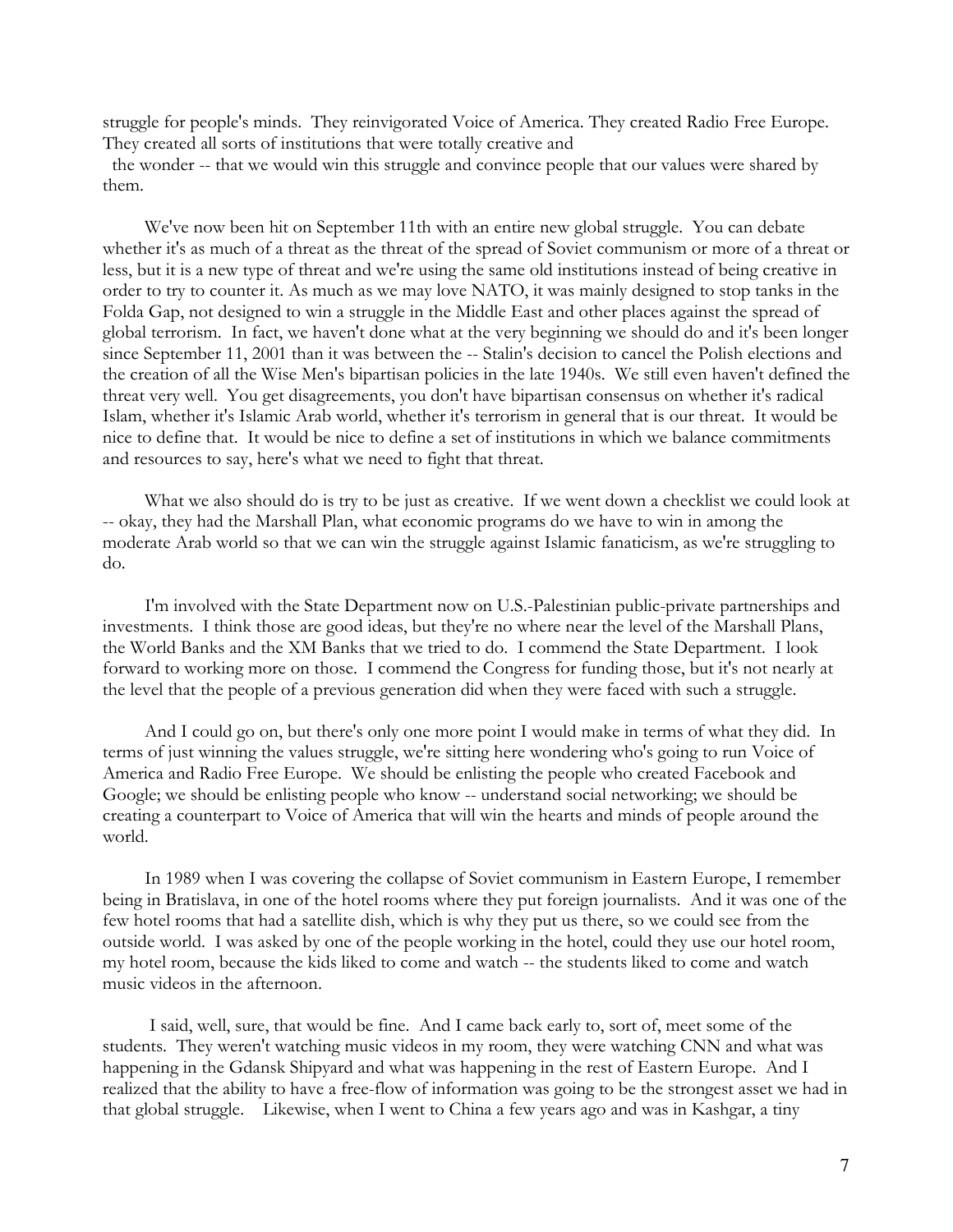struggle for people's minds. They reinvigorated Voice of America. They created Radio Free Europe. They created all sorts of institutions that were totally creative and

 the wonder -- that we would win this struggle and convince people that our values were shared by them.

 We've now been hit on September 11th with an entire new global struggle. You can debate whether it's as much of a threat as the threat of the spread of Soviet communism or more of a threat or less, but it is a new type of threat and we're using the same old institutions instead of being creative in order to try to counter it. As much as we may love NATO, it was mainly designed to stop tanks in the Folda Gap, not designed to win a struggle in the Middle East and other places against the spread of global terrorism. In fact, we haven't done what at the very beginning we should do and it's been longer since September 11, 2001 than it was between the -- Stalin's decision to cancel the Polish elections and the creation of all the Wise Men's bipartisan policies in the late 1940s. We still even haven't defined the threat very well. You get disagreements, you don't have bipartisan consensus on whether it's radical Islam, whether it's Islamic Arab world, whether it's terrorism in general that is our threat. It would be nice to define that. It would be nice to define a set of institutions in which we balance commitments and resources to say, here's what we need to fight that threat.

What we also should do is try to be just as creative. If we went down a checklist we could look at -- okay, they had the Marshall Plan, what economic programs do we have to win in among the moderate Arab world so that we can win the struggle against Islamic fanaticism, as we're struggling to do.

 I'm involved with the State Department now on U.S.-Palestinian public-private partnerships and investments. I think those are good ideas, but they're no where near the level of the Marshall Plans, the World Banks and the XM Banks that we tried to do. I commend the State Department. I look forward to working more on those. I commend the Congress for funding those, but it's not nearly at the level that the people of a previous generation did when they were faced with such a struggle.

 And I could go on, but there's only one more point I would make in terms of what they did. In terms of just winning the values struggle, we're sitting here wondering who's going to run Voice of America and Radio Free Europe. We should be enlisting the people who created Facebook and Google; we should be enlisting people who know -- understand social networking; we should be creating a counterpart to Voice of America that will win the hearts and minds of people around the world.

 In 1989 when I was covering the collapse of Soviet communism in Eastern Europe, I remember being in Bratislava, in one of the hotel rooms where they put foreign journalists. And it was one of the few hotel rooms that had a satellite dish, which is why they put us there, so we could see from the outside world. I was asked by one of the people working in the hotel, could they use our hotel room, my hotel room, because the kids liked to come and watch -- the students liked to come and watch music videos in the afternoon.

 I said, well, sure, that would be fine. And I came back early to, sort of, meet some of the students. They weren't watching music videos in my room, they were watching CNN and what was happening in the Gdansk Shipyard and what was happening in the rest of Eastern Europe. And I realized that the ability to have a free-flow of information was going to be the strongest asset we had in that global struggle. Likewise, when I went to China a few years ago and was in Kashgar, a tiny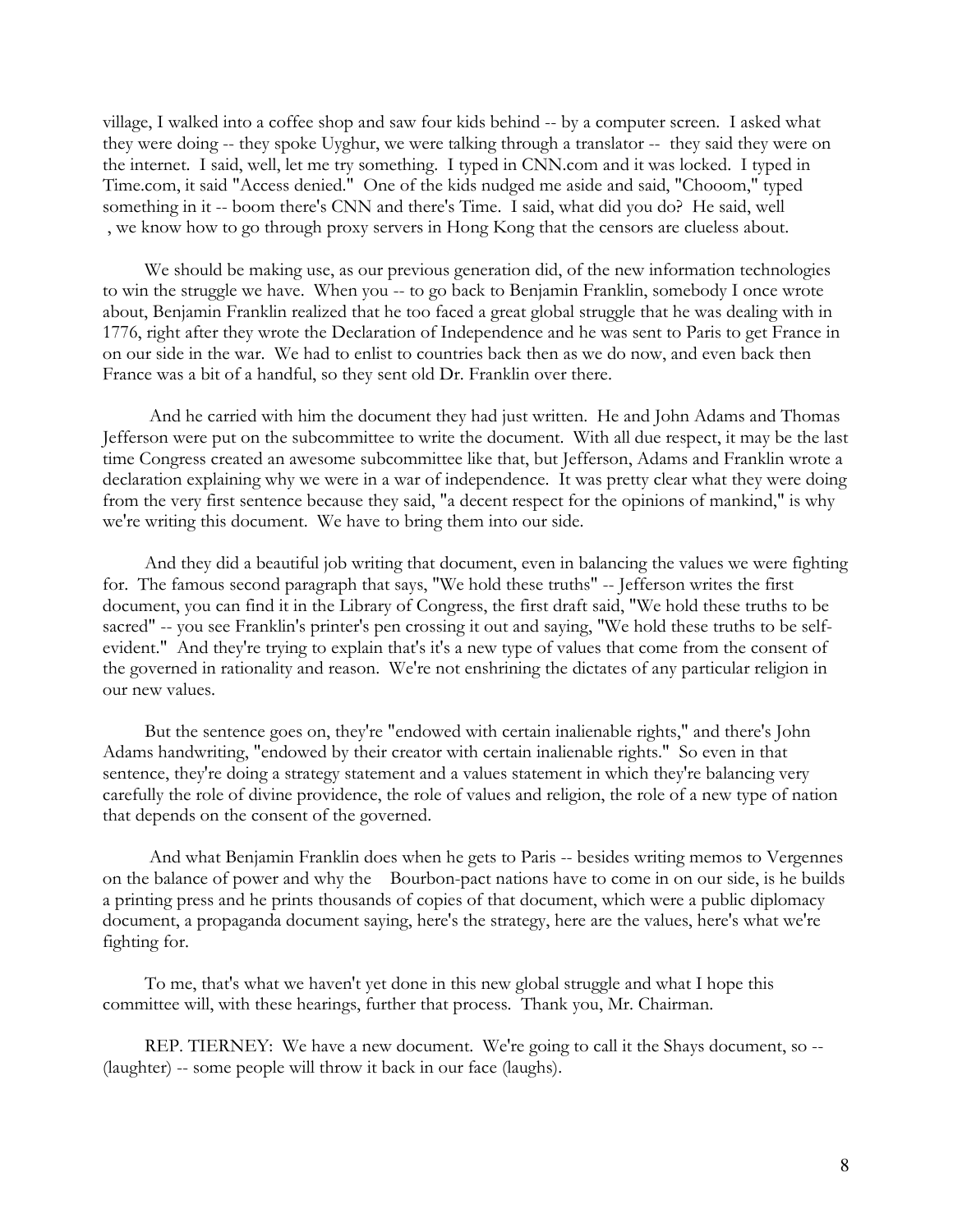village, I walked into a coffee shop and saw four kids behind -- by a computer screen. I asked what they were doing -- they spoke Uyghur, we were talking through a translator -- they said they were on the internet. I said, well, let me try something. I typed in CNN.com and it was locked. I typed in Time.com, it said "Access denied." One of the kids nudged me aside and said, "Chooom," typed something in it -- boom there's CNN and there's Time. I said, what did you do? He said, well , we know how to go through proxy servers in Hong Kong that the censors are clueless about.

 We should be making use, as our previous generation did, of the new information technologies to win the struggle we have. When you -- to go back to Benjamin Franklin, somebody I once wrote about, Benjamin Franklin realized that he too faced a great global struggle that he was dealing with in 1776, right after they wrote the Declaration of Independence and he was sent to Paris to get France in on our side in the war. We had to enlist to countries back then as we do now, and even back then France was a bit of a handful, so they sent old Dr. Franklin over there.

 And he carried with him the document they had just written. He and John Adams and Thomas Jefferson were put on the subcommittee to write the document. With all due respect, it may be the last time Congress created an awesome subcommittee like that, but Jefferson, Adams and Franklin wrote a declaration explaining why we were in a war of independence. It was pretty clear what they were doing from the very first sentence because they said, "a decent respect for the opinions of mankind," is why we're writing this document. We have to bring them into our side.

 And they did a beautiful job writing that document, even in balancing the values we were fighting for. The famous second paragraph that says, "We hold these truths" -- Jefferson writes the first document, you can find it in the Library of Congress, the first draft said, "We hold these truths to be sacred" -- you see Franklin's printer's pen crossing it out and saying, "We hold these truths to be selfevident." And they're trying to explain that's it's a new type of values that come from the consent of the governed in rationality and reason. We're not enshrining the dictates of any particular religion in our new values.

 But the sentence goes on, they're "endowed with certain inalienable rights," and there's John Adams handwriting, "endowed by their creator with certain inalienable rights." So even in that sentence, they're doing a strategy statement and a values statement in which they're balancing very carefully the role of divine providence, the role of values and religion, the role of a new type of nation that depends on the consent of the governed.

 And what Benjamin Franklin does when he gets to Paris -- besides writing memos to Vergennes on the balance of power and why the Bourbon-pact nations have to come in on our side, is he builds a printing press and he prints thousands of copies of that document, which were a public diplomacy document, a propaganda document saying, here's the strategy, here are the values, here's what we're fighting for.

 To me, that's what we haven't yet done in this new global struggle and what I hope this committee will, with these hearings, further that process. Thank you, Mr. Chairman.

 REP. TIERNEY: We have a new document. We're going to call it the Shays document, so -- (laughter) -- some people will throw it back in our face (laughs).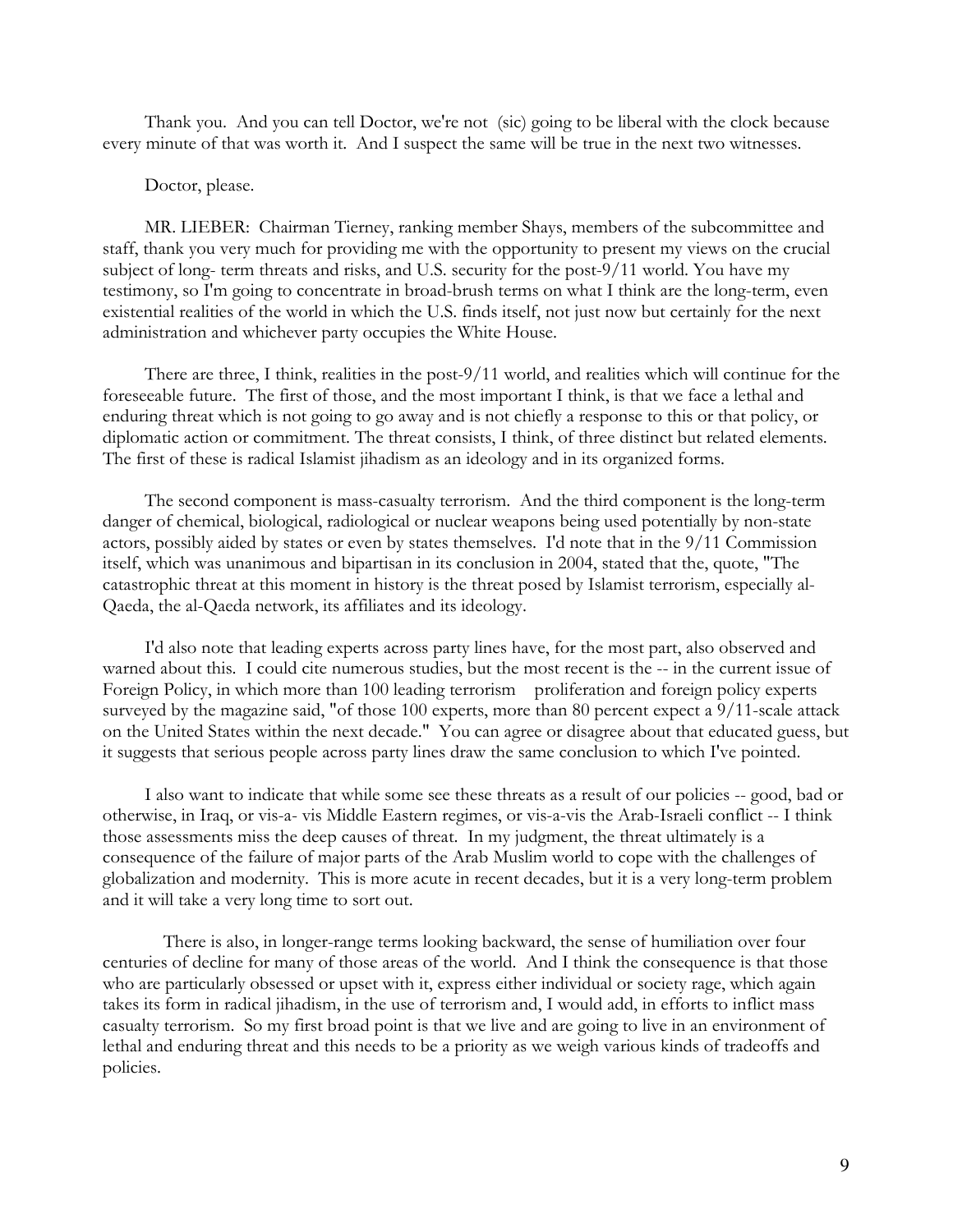Thank you. And you can tell Doctor, we're not (sic) going to be liberal with the clock because every minute of that was worth it. And I suspect the same will be true in the next two witnesses.

#### Doctor, please.

 MR. LIEBER: Chairman Tierney, ranking member Shays, members of the subcommittee and staff, thank you very much for providing me with the opportunity to present my views on the crucial subject of long- term threats and risks, and U.S. security for the post-9/11 world. You have my testimony, so I'm going to concentrate in broad-brush terms on what I think are the long-term, even existential realities of the world in which the U.S. finds itself, not just now but certainly for the next administration and whichever party occupies the White House.

 There are three, I think, realities in the post-9/11 world, and realities which will continue for the foreseeable future. The first of those, and the most important I think, is that we face a lethal and enduring threat which is not going to go away and is not chiefly a response to this or that policy, or diplomatic action or commitment. The threat consists, I think, of three distinct but related elements. The first of these is radical Islamist jihadism as an ideology and in its organized forms.

 The second component is mass-casualty terrorism. And the third component is the long-term danger of chemical, biological, radiological or nuclear weapons being used potentially by non-state actors, possibly aided by states or even by states themselves. I'd note that in the 9/11 Commission itself, which was unanimous and bipartisan in its conclusion in 2004, stated that the, quote, "The catastrophic threat at this moment in history is the threat posed by Islamist terrorism, especially al-Qaeda, the al-Qaeda network, its affiliates and its ideology.

 I'd also note that leading experts across party lines have, for the most part, also observed and warned about this. I could cite numerous studies, but the most recent is the -- in the current issue of Foreign Policy, in which more than 100 leading terrorism proliferation and foreign policy experts surveyed by the magazine said, "of those 100 experts, more than 80 percent expect a 9/11-scale attack on the United States within the next decade." You can agree or disagree about that educated guess, but it suggests that serious people across party lines draw the same conclusion to which I've pointed.

 I also want to indicate that while some see these threats as a result of our policies -- good, bad or otherwise, in Iraq, or vis-a- vis Middle Eastern regimes, or vis-a-vis the Arab-Israeli conflict -- I think those assessments miss the deep causes of threat. In my judgment, the threat ultimately is a consequence of the failure of major parts of the Arab Muslim world to cope with the challenges of globalization and modernity. This is more acute in recent decades, but it is a very long-term problem and it will take a very long time to sort out.

 There is also, in longer-range terms looking backward, the sense of humiliation over four centuries of decline for many of those areas of the world. And I think the consequence is that those who are particularly obsessed or upset with it, express either individual or society rage, which again takes its form in radical jihadism, in the use of terrorism and, I would add, in efforts to inflict mass casualty terrorism. So my first broad point is that we live and are going to live in an environment of lethal and enduring threat and this needs to be a priority as we weigh various kinds of tradeoffs and policies.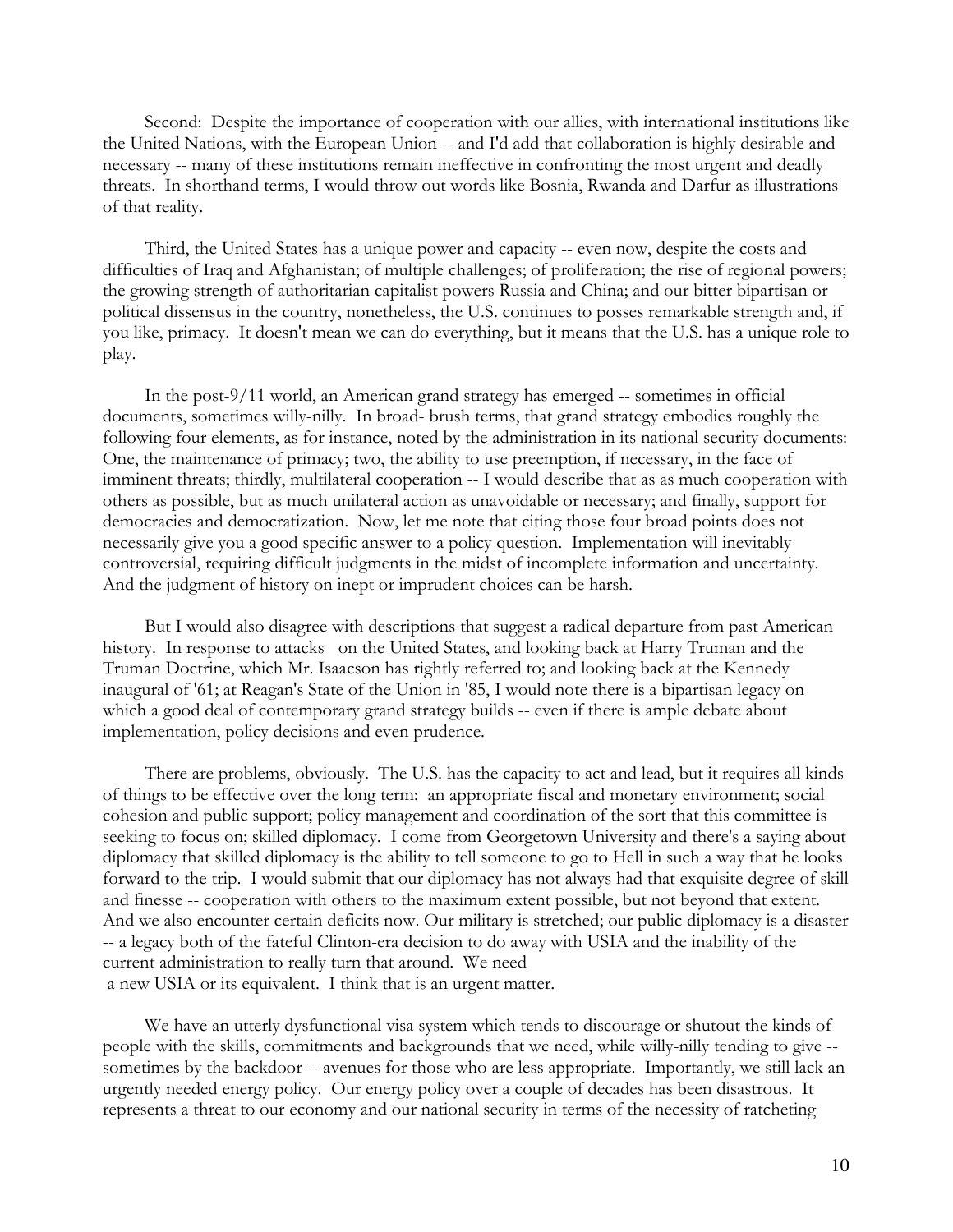Second: Despite the importance of cooperation with our allies, with international institutions like the United Nations, with the European Union -- and I'd add that collaboration is highly desirable and necessary -- many of these institutions remain ineffective in confronting the most urgent and deadly threats. In shorthand terms, I would throw out words like Bosnia, Rwanda and Darfur as illustrations of that reality.

 Third, the United States has a unique power and capacity -- even now, despite the costs and difficulties of Iraq and Afghanistan; of multiple challenges; of proliferation; the rise of regional powers; the growing strength of authoritarian capitalist powers Russia and China; and our bitter bipartisan or political dissensus in the country, nonetheless, the U.S. continues to posses remarkable strength and, if you like, primacy. It doesn't mean we can do everything, but it means that the U.S. has a unique role to play.

 In the post-9/11 world, an American grand strategy has emerged -- sometimes in official documents, sometimes willy-nilly. In broad- brush terms, that grand strategy embodies roughly the following four elements, as for instance, noted by the administration in its national security documents: One, the maintenance of primacy; two, the ability to use preemption, if necessary, in the face of imminent threats; thirdly, multilateral cooperation -- I would describe that as as much cooperation with others as possible, but as much unilateral action as unavoidable or necessary; and finally, support for democracies and democratization. Now, let me note that citing those four broad points does not necessarily give you a good specific answer to a policy question. Implementation will inevitably controversial, requiring difficult judgments in the midst of incomplete information and uncertainty. And the judgment of history on inept or imprudent choices can be harsh.

 But I would also disagree with descriptions that suggest a radical departure from past American history. In response to attacks on the United States, and looking back at Harry Truman and the Truman Doctrine, which Mr. Isaacson has rightly referred to; and looking back at the Kennedy inaugural of '61; at Reagan's State of the Union in '85, I would note there is a bipartisan legacy on which a good deal of contemporary grand strategy builds -- even if there is ample debate about implementation, policy decisions and even prudence.

 There are problems, obviously. The U.S. has the capacity to act and lead, but it requires all kinds of things to be effective over the long term: an appropriate fiscal and monetary environment; social cohesion and public support; policy management and coordination of the sort that this committee is seeking to focus on; skilled diplomacy. I come from Georgetown University and there's a saying about diplomacy that skilled diplomacy is the ability to tell someone to go to Hell in such a way that he looks forward to the trip. I would submit that our diplomacy has not always had that exquisite degree of skill and finesse -- cooperation with others to the maximum extent possible, but not beyond that extent. And we also encounter certain deficits now. Our military is stretched; our public diplomacy is a disaster -- a legacy both of the fateful Clinton-era decision to do away with USIA and the inability of the current administration to really turn that around. We need a new USIA or its equivalent. I think that is an urgent matter.

 We have an utterly dysfunctional visa system which tends to discourage or shutout the kinds of people with the skills, commitments and backgrounds that we need, while willy-nilly tending to give - sometimes by the backdoor -- avenues for those who are less appropriate. Importantly, we still lack an urgently needed energy policy. Our energy policy over a couple of decades has been disastrous. It represents a threat to our economy and our national security in terms of the necessity of ratcheting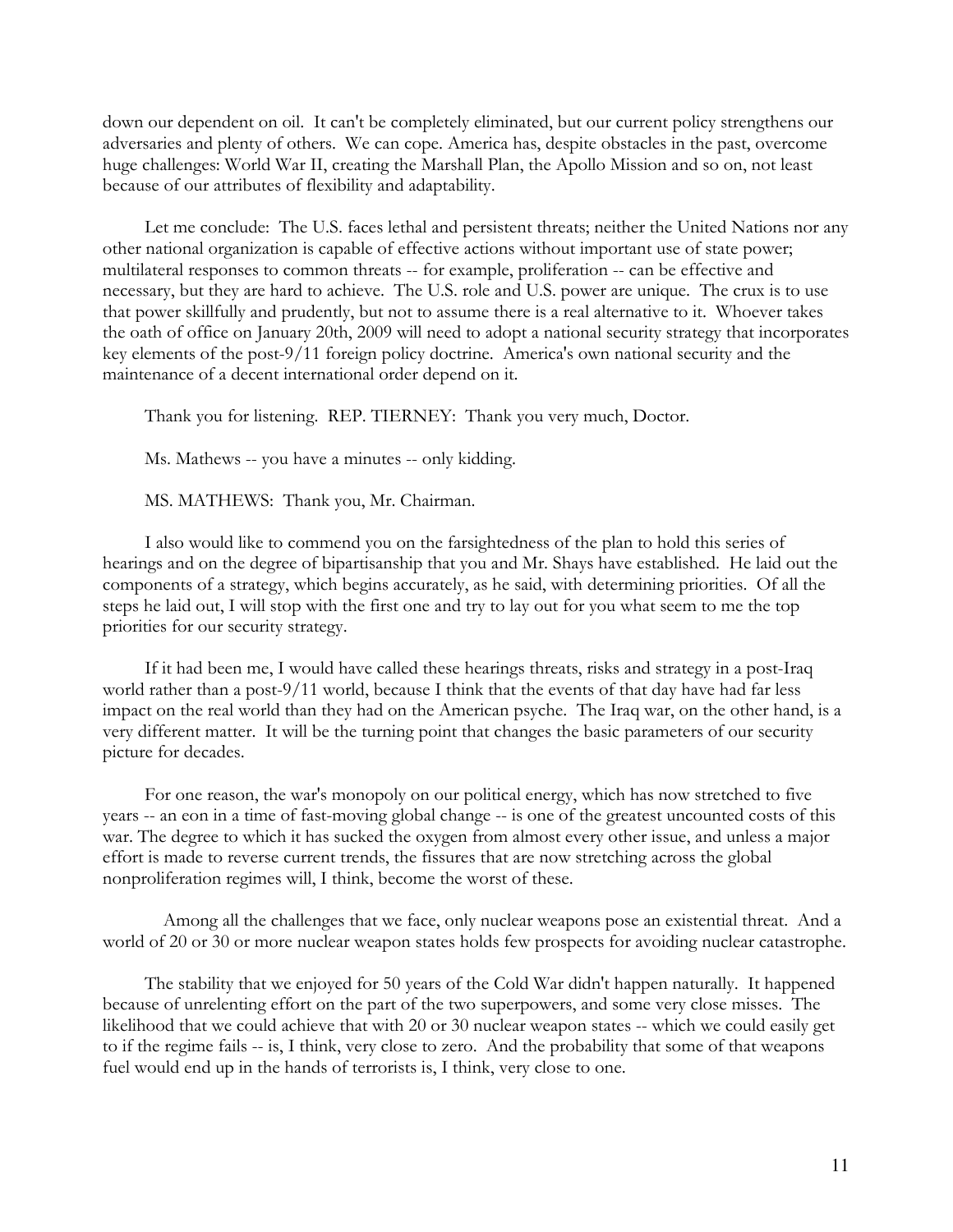down our dependent on oil. It can't be completely eliminated, but our current policy strengthens our adversaries and plenty of others. We can cope. America has, despite obstacles in the past, overcome huge challenges: World War II, creating the Marshall Plan, the Apollo Mission and so on, not least because of our attributes of flexibility and adaptability.

 Let me conclude: The U.S. faces lethal and persistent threats; neither the United Nations nor any other national organization is capable of effective actions without important use of state power; multilateral responses to common threats -- for example, proliferation -- can be effective and necessary, but they are hard to achieve. The U.S. role and U.S. power are unique. The crux is to use that power skillfully and prudently, but not to assume there is a real alternative to it. Whoever takes the oath of office on January 20th, 2009 will need to adopt a national security strategy that incorporates key elements of the post-9/11 foreign policy doctrine. America's own national security and the maintenance of a decent international order depend on it.

Thank you for listening. REP. TIERNEY: Thank you very much, Doctor.

Ms. Mathews -- you have a minutes -- only kidding.

MS. MATHEWS: Thank you, Mr. Chairman.

 I also would like to commend you on the farsightedness of the plan to hold this series of hearings and on the degree of bipartisanship that you and Mr. Shays have established. He laid out the components of a strategy, which begins accurately, as he said, with determining priorities. Of all the steps he laid out, I will stop with the first one and try to lay out for you what seem to me the top priorities for our security strategy.

 If it had been me, I would have called these hearings threats, risks and strategy in a post-Iraq world rather than a post-9/11 world, because I think that the events of that day have had far less impact on the real world than they had on the American psyche. The Iraq war, on the other hand, is a very different matter. It will be the turning point that changes the basic parameters of our security picture for decades.

 For one reason, the war's monopoly on our political energy, which has now stretched to five years -- an eon in a time of fast-moving global change -- is one of the greatest uncounted costs of this war. The degree to which it has sucked the oxygen from almost every other issue, and unless a major effort is made to reverse current trends, the fissures that are now stretching across the global nonproliferation regimes will, I think, become the worst of these.

 Among all the challenges that we face, only nuclear weapons pose an existential threat. And a world of 20 or 30 or more nuclear weapon states holds few prospects for avoiding nuclear catastrophe.

 The stability that we enjoyed for 50 years of the Cold War didn't happen naturally. It happened because of unrelenting effort on the part of the two superpowers, and some very close misses. The likelihood that we could achieve that with 20 or 30 nuclear weapon states -- which we could easily get to if the regime fails -- is, I think, very close to zero. And the probability that some of that weapons fuel would end up in the hands of terrorists is, I think, very close to one.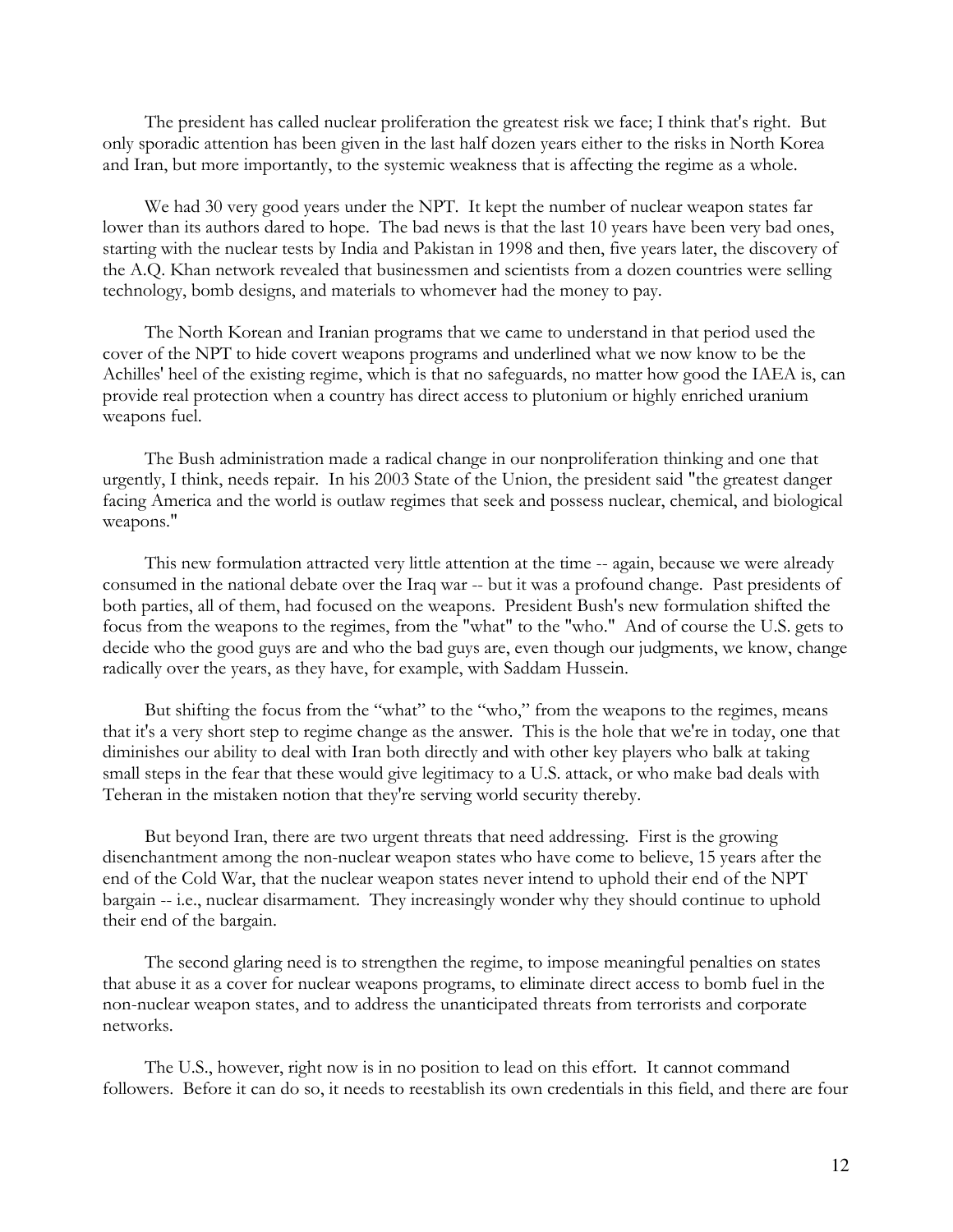The president has called nuclear proliferation the greatest risk we face; I think that's right. But only sporadic attention has been given in the last half dozen years either to the risks in North Korea and Iran, but more importantly, to the systemic weakness that is affecting the regime as a whole.

 We had 30 very good years under the NPT. It kept the number of nuclear weapon states far lower than its authors dared to hope. The bad news is that the last 10 years have been very bad ones, starting with the nuclear tests by India and Pakistan in 1998 and then, five years later, the discovery of the A.Q. Khan network revealed that businessmen and scientists from a dozen countries were selling technology, bomb designs, and materials to whomever had the money to pay.

 The North Korean and Iranian programs that we came to understand in that period used the cover of the NPT to hide covert weapons programs and underlined what we now know to be the Achilles' heel of the existing regime, which is that no safeguards, no matter how good the IAEA is, can provide real protection when a country has direct access to plutonium or highly enriched uranium weapons fuel.

 The Bush administration made a radical change in our nonproliferation thinking and one that urgently, I think, needs repair. In his 2003 State of the Union, the president said "the greatest danger facing America and the world is outlaw regimes that seek and possess nuclear, chemical, and biological weapons."

 This new formulation attracted very little attention at the time -- again, because we were already consumed in the national debate over the Iraq war -- but it was a profound change. Past presidents of both parties, all of them, had focused on the weapons. President Bush's new formulation shifted the focus from the weapons to the regimes, from the "what" to the "who." And of course the U.S. gets to decide who the good guys are and who the bad guys are, even though our judgments, we know, change radically over the years, as they have, for example, with Saddam Hussein.

 But shifting the focus from the "what" to the "who," from the weapons to the regimes, means that it's a very short step to regime change as the answer. This is the hole that we're in today, one that diminishes our ability to deal with Iran both directly and with other key players who balk at taking small steps in the fear that these would give legitimacy to a U.S. attack, or who make bad deals with Teheran in the mistaken notion that they're serving world security thereby.

 But beyond Iran, there are two urgent threats that need addressing. First is the growing disenchantment among the non-nuclear weapon states who have come to believe, 15 years after the end of the Cold War, that the nuclear weapon states never intend to uphold their end of the NPT bargain -- i.e., nuclear disarmament. They increasingly wonder why they should continue to uphold their end of the bargain.

 The second glaring need is to strengthen the regime, to impose meaningful penalties on states that abuse it as a cover for nuclear weapons programs, to eliminate direct access to bomb fuel in the non-nuclear weapon states, and to address the unanticipated threats from terrorists and corporate networks.

 The U.S., however, right now is in no position to lead on this effort. It cannot command followers. Before it can do so, it needs to reestablish its own credentials in this field, and there are four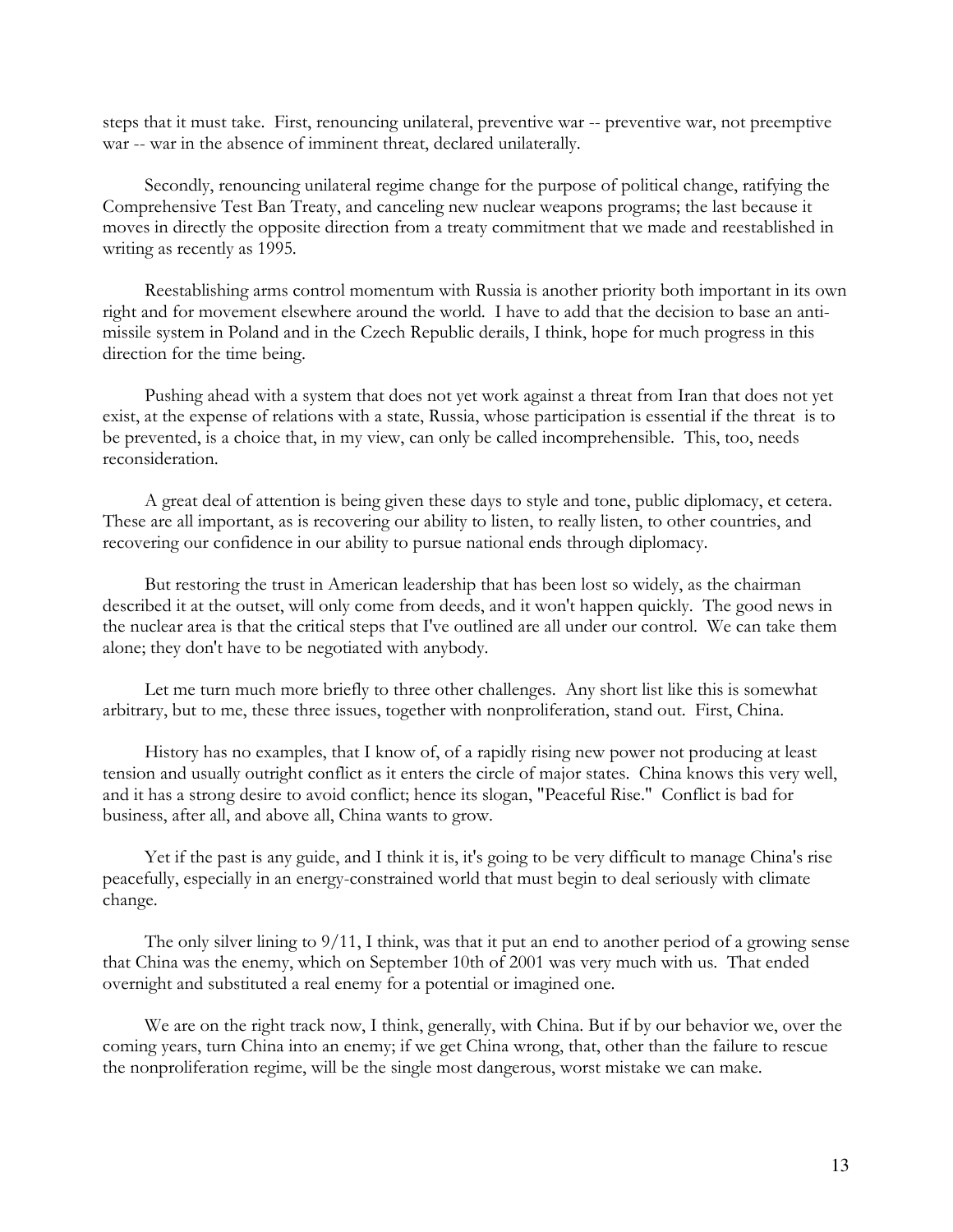steps that it must take. First, renouncing unilateral, preventive war -- preventive war, not preemptive war -- war in the absence of imminent threat, declared unilaterally.

 Secondly, renouncing unilateral regime change for the purpose of political change, ratifying the Comprehensive Test Ban Treaty, and canceling new nuclear weapons programs; the last because it moves in directly the opposite direction from a treaty commitment that we made and reestablished in writing as recently as 1995.

 Reestablishing arms control momentum with Russia is another priority both important in its own right and for movement elsewhere around the world. I have to add that the decision to base an antimissile system in Poland and in the Czech Republic derails, I think, hope for much progress in this direction for the time being.

 Pushing ahead with a system that does not yet work against a threat from Iran that does not yet exist, at the expense of relations with a state, Russia, whose participation is essential if the threat is to be prevented, is a choice that, in my view, can only be called incomprehensible. This, too, needs reconsideration.

 A great deal of attention is being given these days to style and tone, public diplomacy, et cetera. These are all important, as is recovering our ability to listen, to really listen, to other countries, and recovering our confidence in our ability to pursue national ends through diplomacy.

 But restoring the trust in American leadership that has been lost so widely, as the chairman described it at the outset, will only come from deeds, and it won't happen quickly. The good news in the nuclear area is that the critical steps that I've outlined are all under our control. We can take them alone; they don't have to be negotiated with anybody.

 Let me turn much more briefly to three other challenges. Any short list like this is somewhat arbitrary, but to me, these three issues, together with nonproliferation, stand out. First, China.

 History has no examples, that I know of, of a rapidly rising new power not producing at least tension and usually outright conflict as it enters the circle of major states. China knows this very well, and it has a strong desire to avoid conflict; hence its slogan, "Peaceful Rise." Conflict is bad for business, after all, and above all, China wants to grow.

 Yet if the past is any guide, and I think it is, it's going to be very difficult to manage China's rise peacefully, especially in an energy-constrained world that must begin to deal seriously with climate change.

 The only silver lining to 9/11, I think, was that it put an end to another period of a growing sense that China was the enemy, which on September 10th of 2001 was very much with us. That ended overnight and substituted a real enemy for a potential or imagined one.

 We are on the right track now, I think, generally, with China. But if by our behavior we, over the coming years, turn China into an enemy; if we get China wrong, that, other than the failure to rescue the nonproliferation regime, will be the single most dangerous, worst mistake we can make.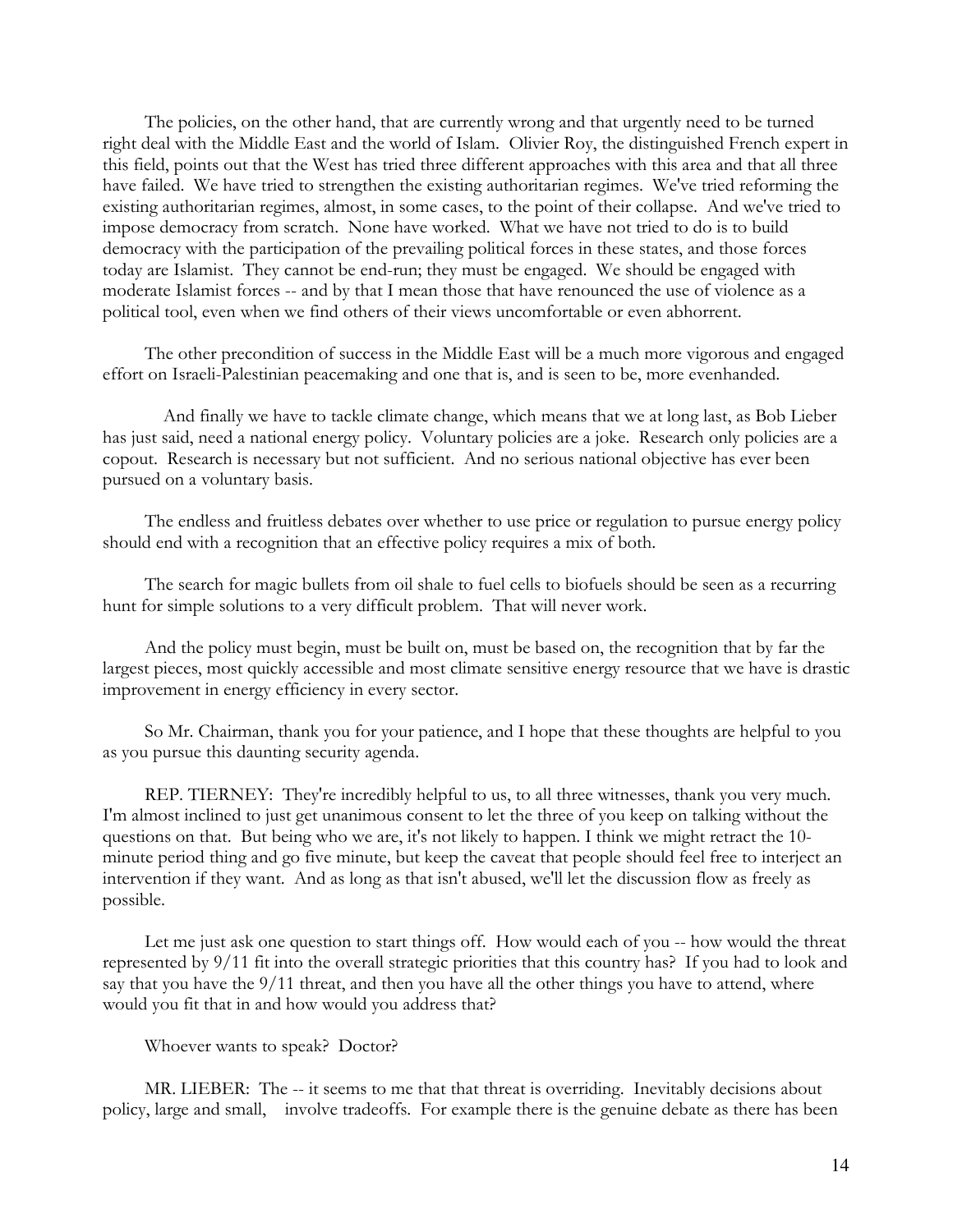The policies, on the other hand, that are currently wrong and that urgently need to be turned right deal with the Middle East and the world of Islam. Olivier Roy, the distinguished French expert in this field, points out that the West has tried three different approaches with this area and that all three have failed. We have tried to strengthen the existing authoritarian regimes. We've tried reforming the existing authoritarian regimes, almost, in some cases, to the point of their collapse. And we've tried to impose democracy from scratch. None have worked. What we have not tried to do is to build democracy with the participation of the prevailing political forces in these states, and those forces today are Islamist. They cannot be end-run; they must be engaged. We should be engaged with moderate Islamist forces -- and by that I mean those that have renounced the use of violence as a political tool, even when we find others of their views uncomfortable or even abhorrent.

 The other precondition of success in the Middle East will be a much more vigorous and engaged effort on Israeli-Palestinian peacemaking and one that is, and is seen to be, more evenhanded.

 And finally we have to tackle climate change, which means that we at long last, as Bob Lieber has just said, need a national energy policy. Voluntary policies are a joke. Research only policies are a copout. Research is necessary but not sufficient. And no serious national objective has ever been pursued on a voluntary basis.

 The endless and fruitless debates over whether to use price or regulation to pursue energy policy should end with a recognition that an effective policy requires a mix of both.

 The search for magic bullets from oil shale to fuel cells to biofuels should be seen as a recurring hunt for simple solutions to a very difficult problem. That will never work.

 And the policy must begin, must be built on, must be based on, the recognition that by far the largest pieces, most quickly accessible and most climate sensitive energy resource that we have is drastic improvement in energy efficiency in every sector.

 So Mr. Chairman, thank you for your patience, and I hope that these thoughts are helpful to you as you pursue this daunting security agenda.

 REP. TIERNEY: They're incredibly helpful to us, to all three witnesses, thank you very much. I'm almost inclined to just get unanimous consent to let the three of you keep on talking without the questions on that. But being who we are, it's not likely to happen. I think we might retract the 10 minute period thing and go five minute, but keep the caveat that people should feel free to interject an intervention if they want. And as long as that isn't abused, we'll let the discussion flow as freely as possible.

Let me just ask one question to start things off. How would each of you -- how would the threat represented by 9/11 fit into the overall strategic priorities that this country has? If you had to look and say that you have the 9/11 threat, and then you have all the other things you have to attend, where would you fit that in and how would you address that?

Whoever wants to speak? Doctor?

 MR. LIEBER: The -- it seems to me that that threat is overriding. Inevitably decisions about policy, large and small, involve tradeoffs. For example there is the genuine debate as there has been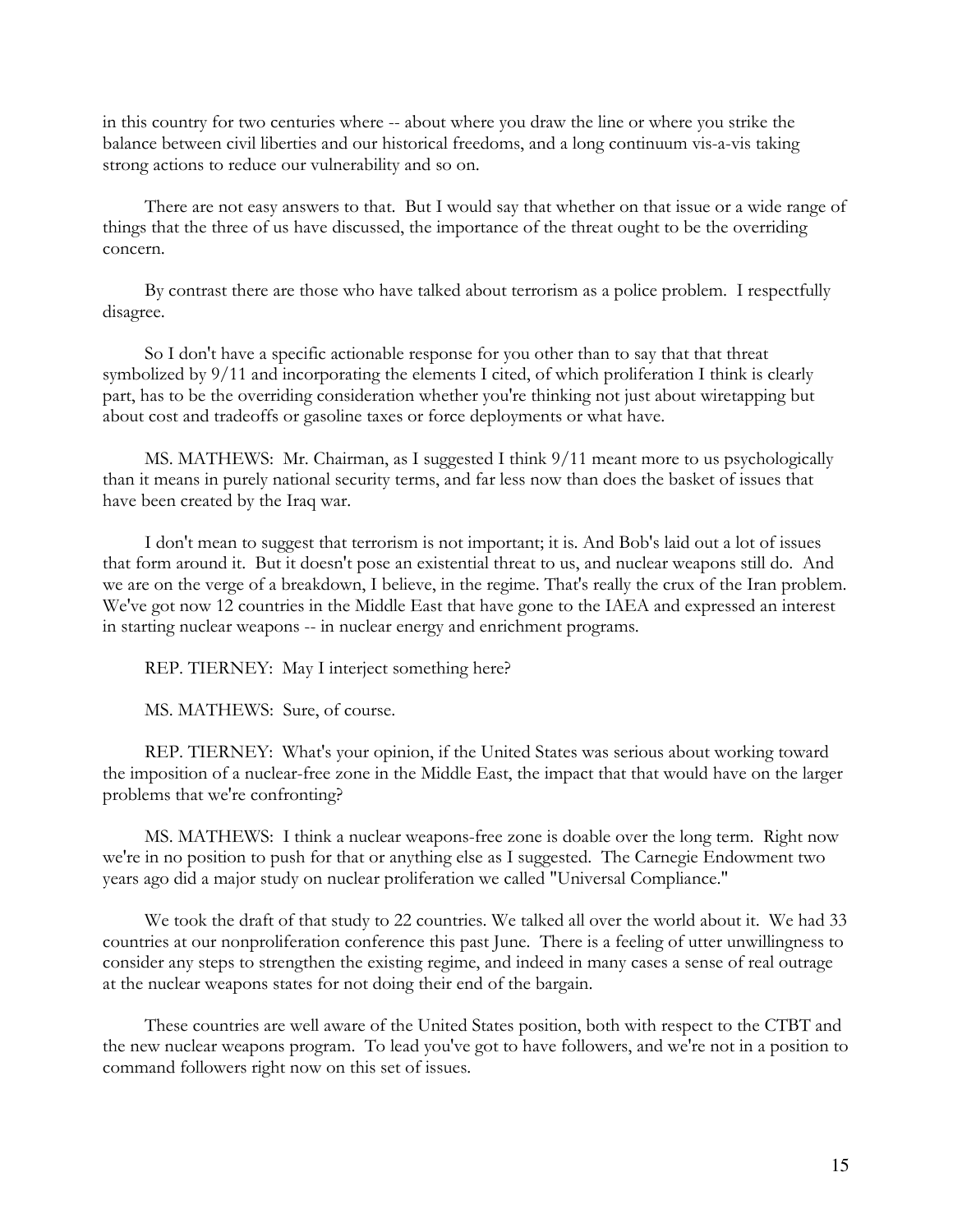in this country for two centuries where -- about where you draw the line or where you strike the balance between civil liberties and our historical freedoms, and a long continuum vis-a-vis taking strong actions to reduce our vulnerability and so on.

 There are not easy answers to that. But I would say that whether on that issue or a wide range of things that the three of us have discussed, the importance of the threat ought to be the overriding concern.

 By contrast there are those who have talked about terrorism as a police problem. I respectfully disagree.

 So I don't have a specific actionable response for you other than to say that that threat symbolized by 9/11 and incorporating the elements I cited, of which proliferation I think is clearly part, has to be the overriding consideration whether you're thinking not just about wiretapping but about cost and tradeoffs or gasoline taxes or force deployments or what have.

 MS. MATHEWS: Mr. Chairman, as I suggested I think 9/11 meant more to us psychologically than it means in purely national security terms, and far less now than does the basket of issues that have been created by the Iraq war.

 I don't mean to suggest that terrorism is not important; it is. And Bob's laid out a lot of issues that form around it. But it doesn't pose an existential threat to us, and nuclear weapons still do. And we are on the verge of a breakdown, I believe, in the regime. That's really the crux of the Iran problem. We've got now 12 countries in the Middle East that have gone to the IAEA and expressed an interest in starting nuclear weapons -- in nuclear energy and enrichment programs.

REP. TIERNEY: May I interject something here?

MS. MATHEWS: Sure, of course.

 REP. TIERNEY: What's your opinion, if the United States was serious about working toward the imposition of a nuclear-free zone in the Middle East, the impact that that would have on the larger problems that we're confronting?

 MS. MATHEWS: I think a nuclear weapons-free zone is doable over the long term. Right now we're in no position to push for that or anything else as I suggested. The Carnegie Endowment two years ago did a major study on nuclear proliferation we called "Universal Compliance."

 We took the draft of that study to 22 countries. We talked all over the world about it. We had 33 countries at our nonproliferation conference this past June. There is a feeling of utter unwillingness to consider any steps to strengthen the existing regime, and indeed in many cases a sense of real outrage at the nuclear weapons states for not doing their end of the bargain.

 These countries are well aware of the United States position, both with respect to the CTBT and the new nuclear weapons program. To lead you've got to have followers, and we're not in a position to command followers right now on this set of issues.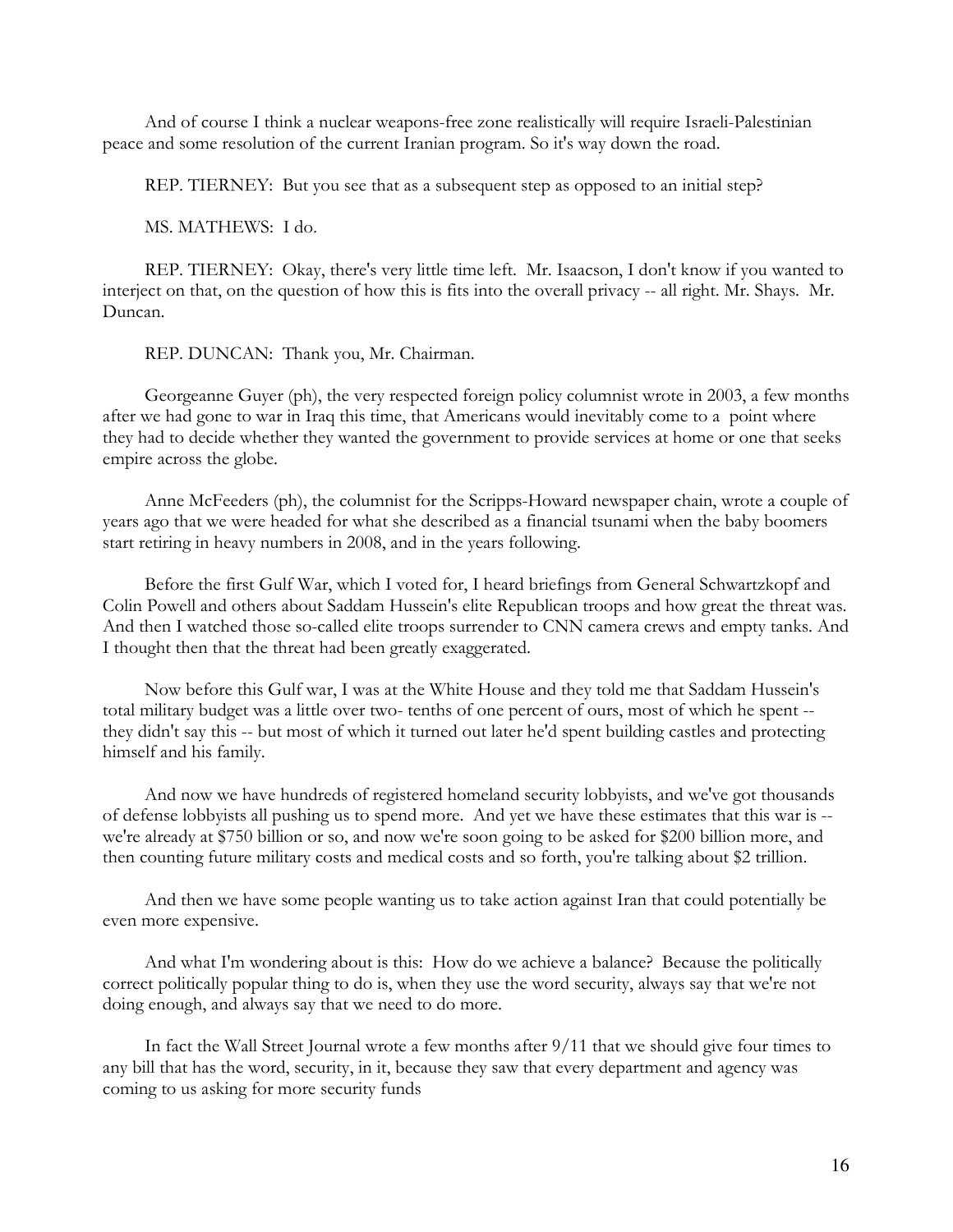And of course I think a nuclear weapons-free zone realistically will require Israeli-Palestinian peace and some resolution of the current Iranian program. So it's way down the road.

REP. TIERNEY: But you see that as a subsequent step as opposed to an initial step?

MS. MATHEWS: I do.

 REP. TIERNEY: Okay, there's very little time left. Mr. Isaacson, I don't know if you wanted to interject on that, on the question of how this is fits into the overall privacy -- all right. Mr. Shays. Mr. Duncan.

REP. DUNCAN: Thank you, Mr. Chairman.

 Georgeanne Guyer (ph), the very respected foreign policy columnist wrote in 2003, a few months after we had gone to war in Iraq this time, that Americans would inevitably come to a point where they had to decide whether they wanted the government to provide services at home or one that seeks empire across the globe.

 Anne McFeeders (ph), the columnist for the Scripps-Howard newspaper chain, wrote a couple of years ago that we were headed for what she described as a financial tsunami when the baby boomers start retiring in heavy numbers in 2008, and in the years following.

 Before the first Gulf War, which I voted for, I heard briefings from General Schwartzkopf and Colin Powell and others about Saddam Hussein's elite Republican troops and how great the threat was. And then I watched those so-called elite troops surrender to CNN camera crews and empty tanks. And I thought then that the threat had been greatly exaggerated.

 Now before this Gulf war, I was at the White House and they told me that Saddam Hussein's total military budget was a little over two- tenths of one percent of ours, most of which he spent - they didn't say this -- but most of which it turned out later he'd spent building castles and protecting himself and his family.

 And now we have hundreds of registered homeland security lobbyists, and we've got thousands of defense lobbyists all pushing us to spend more. And yet we have these estimates that this war is - we're already at \$750 billion or so, and now we're soon going to be asked for \$200 billion more, and then counting future military costs and medical costs and so forth, you're talking about \$2 trillion.

 And then we have some people wanting us to take action against Iran that could potentially be even more expensive.

 And what I'm wondering about is this: How do we achieve a balance? Because the politically correct politically popular thing to do is, when they use the word security, always say that we're not doing enough, and always say that we need to do more.

 In fact the Wall Street Journal wrote a few months after 9/11 that we should give four times to any bill that has the word, security, in it, because they saw that every department and agency was coming to us asking for more security funds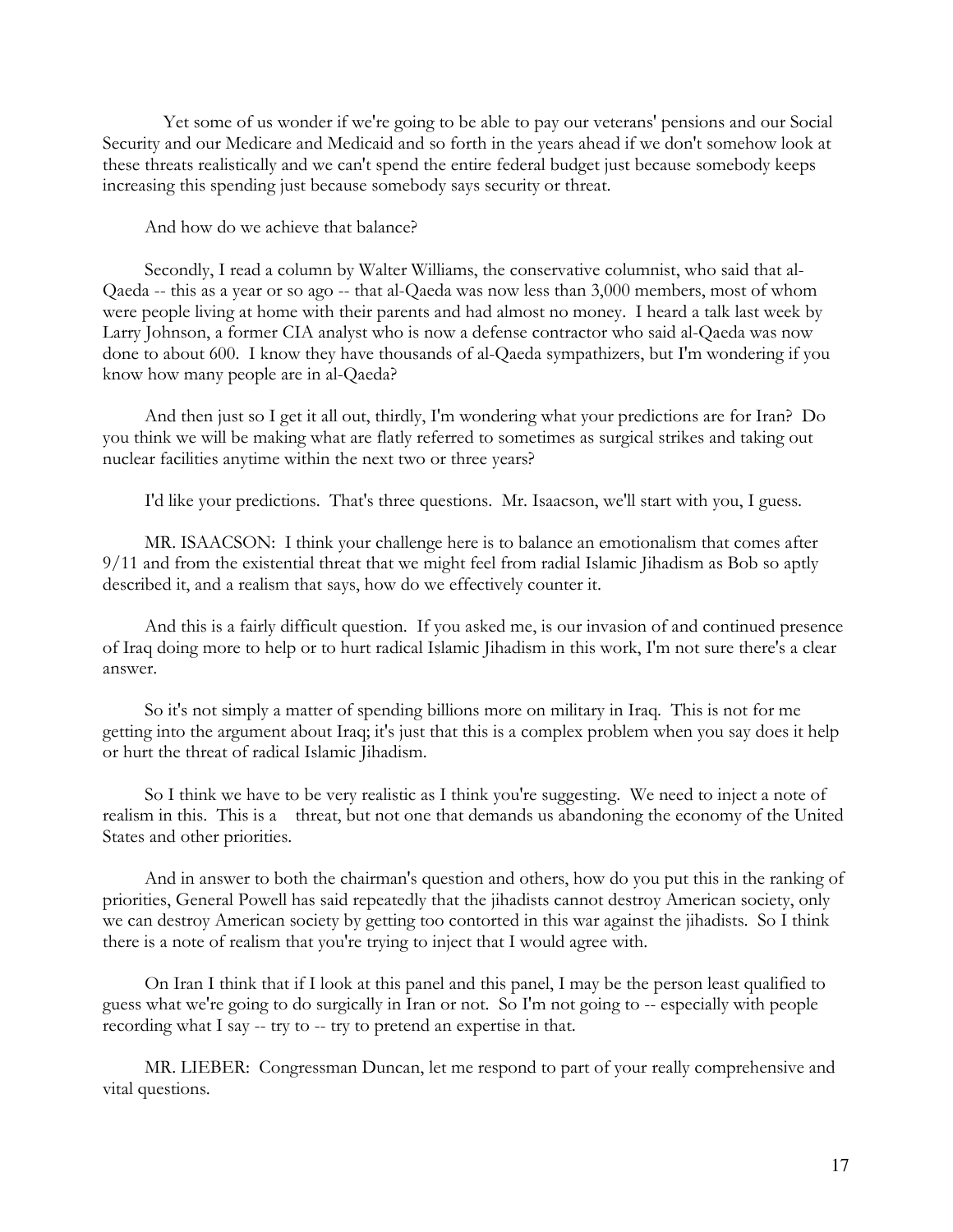Yet some of us wonder if we're going to be able to pay our veterans' pensions and our Social Security and our Medicare and Medicaid and so forth in the years ahead if we don't somehow look at these threats realistically and we can't spend the entire federal budget just because somebody keeps increasing this spending just because somebody says security or threat.

And how do we achieve that balance?

 Secondly, I read a column by Walter Williams, the conservative columnist, who said that al-Qaeda -- this as a year or so ago -- that al-Qaeda was now less than 3,000 members, most of whom were people living at home with their parents and had almost no money. I heard a talk last week by Larry Johnson, a former CIA analyst who is now a defense contractor who said al-Qaeda was now done to about 600. I know they have thousands of al-Qaeda sympathizers, but I'm wondering if you know how many people are in al-Qaeda?

 And then just so I get it all out, thirdly, I'm wondering what your predictions are for Iran? Do you think we will be making what are flatly referred to sometimes as surgical strikes and taking out nuclear facilities anytime within the next two or three years?

I'd like your predictions. That's three questions. Mr. Isaacson, we'll start with you, I guess.

 MR. ISAACSON: I think your challenge here is to balance an emotionalism that comes after 9/11 and from the existential threat that we might feel from radial Islamic Jihadism as Bob so aptly described it, and a realism that says, how do we effectively counter it.

 And this is a fairly difficult question. If you asked me, is our invasion of and continued presence of Iraq doing more to help or to hurt radical Islamic Jihadism in this work, I'm not sure there's a clear answer.

 So it's not simply a matter of spending billions more on military in Iraq. This is not for me getting into the argument about Iraq; it's just that this is a complex problem when you say does it help or hurt the threat of radical Islamic Jihadism.

 So I think we have to be very realistic as I think you're suggesting. We need to inject a note of realism in this. This is a threat, but not one that demands us abandoning the economy of the United States and other priorities.

 And in answer to both the chairman's question and others, how do you put this in the ranking of priorities, General Powell has said repeatedly that the jihadists cannot destroy American society, only we can destroy American society by getting too contorted in this war against the jihadists. So I think there is a note of realism that you're trying to inject that I would agree with.

 On Iran I think that if I look at this panel and this panel, I may be the person least qualified to guess what we're going to do surgically in Iran or not. So I'm not going to -- especially with people recording what I say -- try to -- try to pretend an expertise in that.

 MR. LIEBER: Congressman Duncan, let me respond to part of your really comprehensive and vital questions.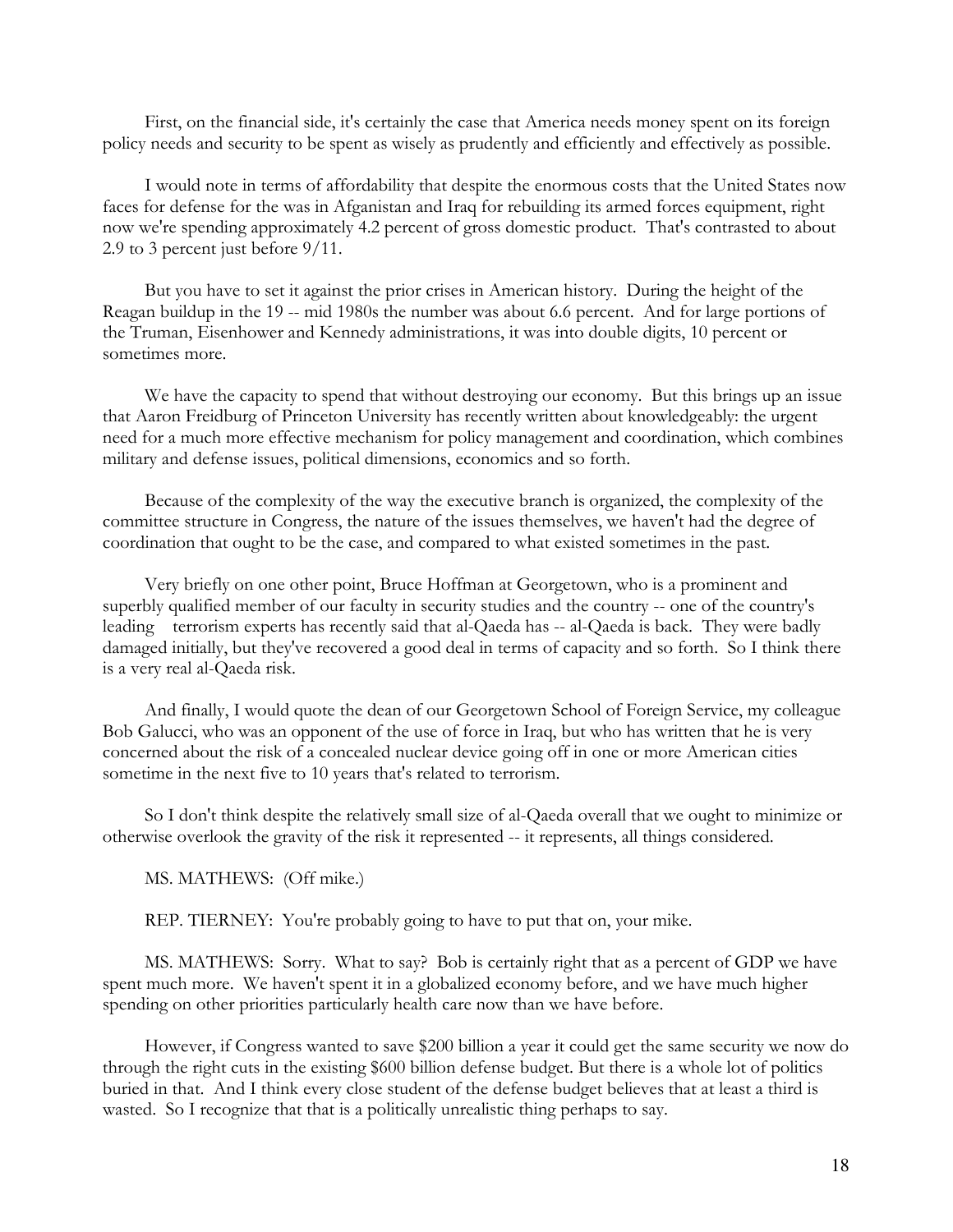First, on the financial side, it's certainly the case that America needs money spent on its foreign policy needs and security to be spent as wisely as prudently and efficiently and effectively as possible.

 I would note in terms of affordability that despite the enormous costs that the United States now faces for defense for the was in Afganistan and Iraq for rebuilding its armed forces equipment, right now we're spending approximately 4.2 percent of gross domestic product. That's contrasted to about 2.9 to 3 percent just before 9/11.

 But you have to set it against the prior crises in American history. During the height of the Reagan buildup in the 19 -- mid 1980s the number was about 6.6 percent. And for large portions of the Truman, Eisenhower and Kennedy administrations, it was into double digits, 10 percent or sometimes more.

 We have the capacity to spend that without destroying our economy. But this brings up an issue that Aaron Freidburg of Princeton University has recently written about knowledgeably: the urgent need for a much more effective mechanism for policy management and coordination, which combines military and defense issues, political dimensions, economics and so forth.

 Because of the complexity of the way the executive branch is organized, the complexity of the committee structure in Congress, the nature of the issues themselves, we haven't had the degree of coordination that ought to be the case, and compared to what existed sometimes in the past.

 Very briefly on one other point, Bruce Hoffman at Georgetown, who is a prominent and superbly qualified member of our faculty in security studies and the country -- one of the country's leading terrorism experts has recently said that al-Qaeda has -- al-Qaeda is back. They were badly damaged initially, but they've recovered a good deal in terms of capacity and so forth. So I think there is a very real al-Qaeda risk.

 And finally, I would quote the dean of our Georgetown School of Foreign Service, my colleague Bob Galucci, who was an opponent of the use of force in Iraq, but who has written that he is very concerned about the risk of a concealed nuclear device going off in one or more American cities sometime in the next five to 10 years that's related to terrorism.

 So I don't think despite the relatively small size of al-Qaeda overall that we ought to minimize or otherwise overlook the gravity of the risk it represented -- it represents, all things considered.

MS. MATHEWS: (Off mike.)

REP. TIERNEY: You're probably going to have to put that on, your mike.

 MS. MATHEWS: Sorry. What to say? Bob is certainly right that as a percent of GDP we have spent much more. We haven't spent it in a globalized economy before, and we have much higher spending on other priorities particularly health care now than we have before.

 However, if Congress wanted to save \$200 billion a year it could get the same security we now do through the right cuts in the existing \$600 billion defense budget. But there is a whole lot of politics buried in that. And I think every close student of the defense budget believes that at least a third is wasted. So I recognize that that is a politically unrealistic thing perhaps to say.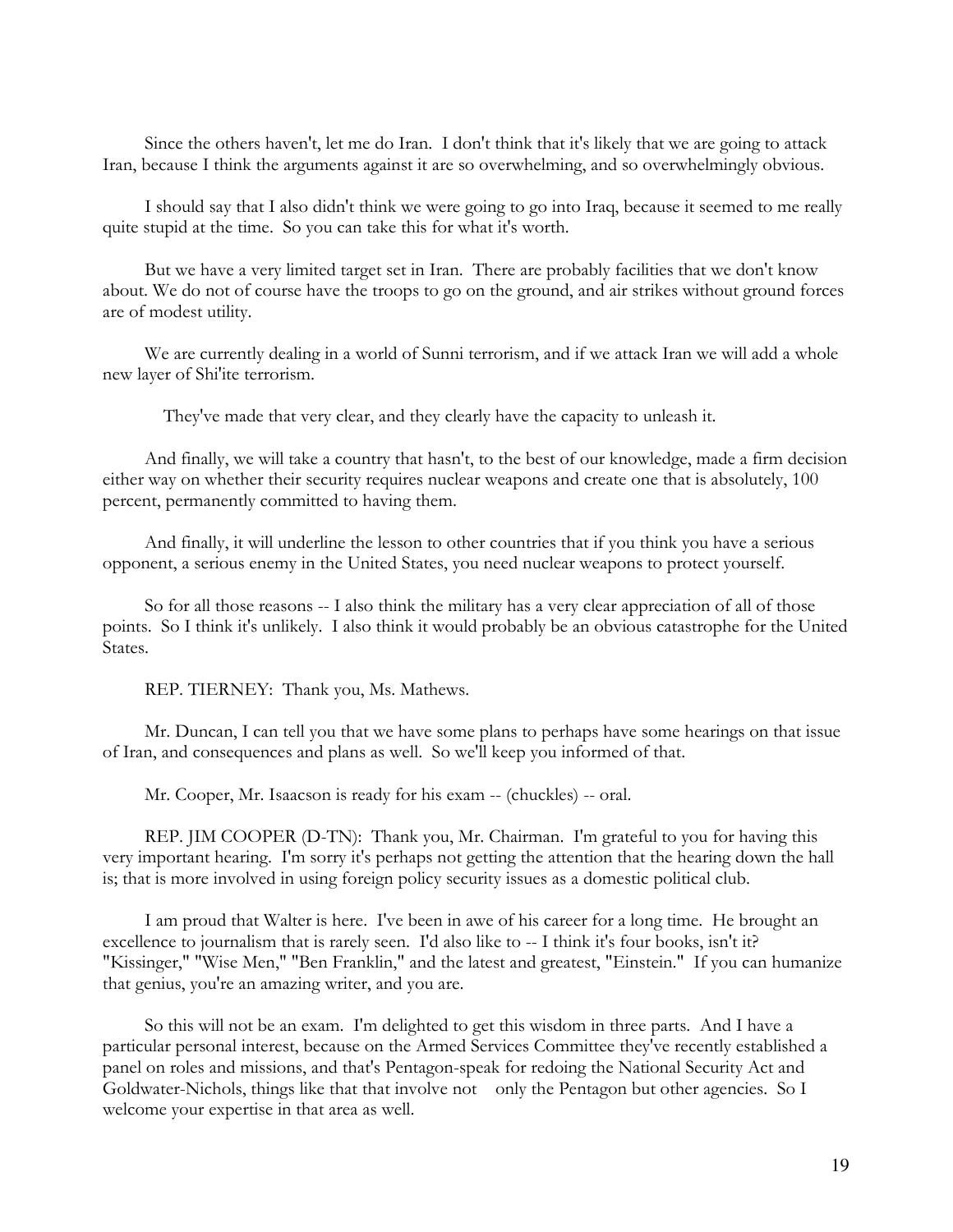Since the others haven't, let me do Iran. I don't think that it's likely that we are going to attack Iran, because I think the arguments against it are so overwhelming, and so overwhelmingly obvious.

 I should say that I also didn't think we were going to go into Iraq, because it seemed to me really quite stupid at the time. So you can take this for what it's worth.

 But we have a very limited target set in Iran. There are probably facilities that we don't know about. We do not of course have the troops to go on the ground, and air strikes without ground forces are of modest utility.

 We are currently dealing in a world of Sunni terrorism, and if we attack Iran we will add a whole new layer of Shi'ite terrorism.

They've made that very clear, and they clearly have the capacity to unleash it.

 And finally, we will take a country that hasn't, to the best of our knowledge, made a firm decision either way on whether their security requires nuclear weapons and create one that is absolutely, 100 percent, permanently committed to having them.

 And finally, it will underline the lesson to other countries that if you think you have a serious opponent, a serious enemy in the United States, you need nuclear weapons to protect yourself.

 So for all those reasons -- I also think the military has a very clear appreciation of all of those points. So I think it's unlikely. I also think it would probably be an obvious catastrophe for the United States.

REP. TIERNEY: Thank you, Ms. Mathews.

 Mr. Duncan, I can tell you that we have some plans to perhaps have some hearings on that issue of Iran, and consequences and plans as well. So we'll keep you informed of that.

Mr. Cooper, Mr. Isaacson is ready for his exam -- (chuckles) -- oral.

 REP. JIM COOPER (D-TN): Thank you, Mr. Chairman. I'm grateful to you for having this very important hearing. I'm sorry it's perhaps not getting the attention that the hearing down the hall is; that is more involved in using foreign policy security issues as a domestic political club.

 I am proud that Walter is here. I've been in awe of his career for a long time. He brought an excellence to journalism that is rarely seen. I'd also like to -- I think it's four books, isn't it? "Kissinger," "Wise Men," "Ben Franklin," and the latest and greatest, "Einstein." If you can humanize that genius, you're an amazing writer, and you are.

 So this will not be an exam. I'm delighted to get this wisdom in three parts. And I have a particular personal interest, because on the Armed Services Committee they've recently established a panel on roles and missions, and that's Pentagon-speak for redoing the National Security Act and Goldwater-Nichols, things like that that involve not only the Pentagon but other agencies. So I welcome your expertise in that area as well.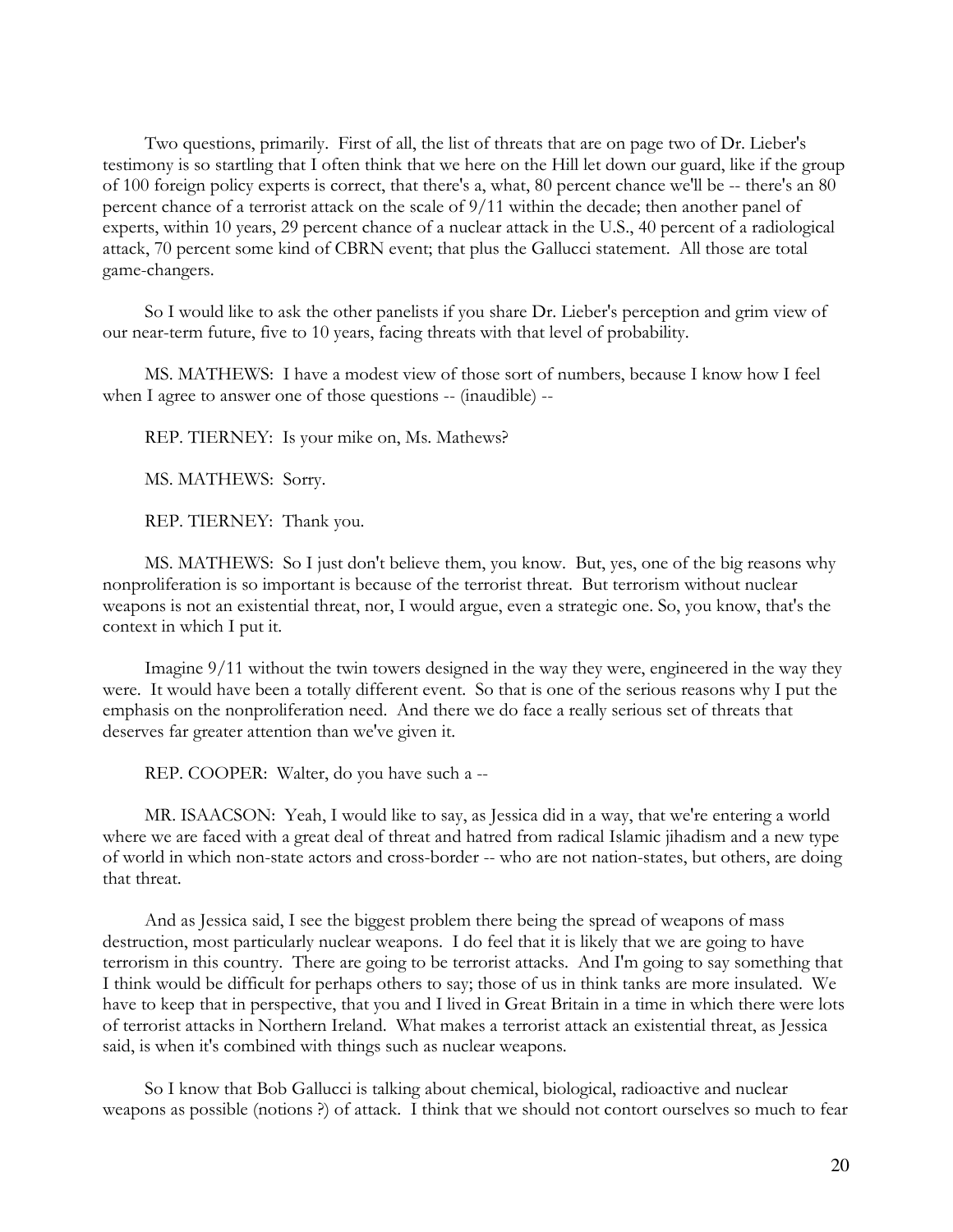Two questions, primarily. First of all, the list of threats that are on page two of Dr. Lieber's testimony is so startling that I often think that we here on the Hill let down our guard, like if the group of 100 foreign policy experts is correct, that there's a, what, 80 percent chance we'll be -- there's an 80 percent chance of a terrorist attack on the scale of 9/11 within the decade; then another panel of experts, within 10 years, 29 percent chance of a nuclear attack in the U.S., 40 percent of a radiological attack, 70 percent some kind of CBRN event; that plus the Gallucci statement. All those are total game-changers.

 So I would like to ask the other panelists if you share Dr. Lieber's perception and grim view of our near-term future, five to 10 years, facing threats with that level of probability.

 MS. MATHEWS: I have a modest view of those sort of numbers, because I know how I feel when I agree to answer one of those questions -- (inaudible) --

REP. TIERNEY: Is your mike on, Ms. Mathews?

MS. MATHEWS: Sorry.

REP. TIERNEY: Thank you.

 MS. MATHEWS: So I just don't believe them, you know. But, yes, one of the big reasons why nonproliferation is so important is because of the terrorist threat. But terrorism without nuclear weapons is not an existential threat, nor, I would argue, even a strategic one. So, you know, that's the context in which I put it.

 Imagine 9/11 without the twin towers designed in the way they were, engineered in the way they were. It would have been a totally different event. So that is one of the serious reasons why I put the emphasis on the nonproliferation need. And there we do face a really serious set of threats that deserves far greater attention than we've given it.

REP. COOPER: Walter, do you have such a --

 MR. ISAACSON: Yeah, I would like to say, as Jessica did in a way, that we're entering a world where we are faced with a great deal of threat and hatred from radical Islamic jihadism and a new type of world in which non-state actors and cross-border -- who are not nation-states, but others, are doing that threat.

 And as Jessica said, I see the biggest problem there being the spread of weapons of mass destruction, most particularly nuclear weapons. I do feel that it is likely that we are going to have terrorism in this country. There are going to be terrorist attacks. And I'm going to say something that I think would be difficult for perhaps others to say; those of us in think tanks are more insulated. We have to keep that in perspective, that you and I lived in Great Britain in a time in which there were lots of terrorist attacks in Northern Ireland. What makes a terrorist attack an existential threat, as Jessica said, is when it's combined with things such as nuclear weapons.

 So I know that Bob Gallucci is talking about chemical, biological, radioactive and nuclear weapons as possible (notions ?) of attack. I think that we should not contort ourselves so much to fear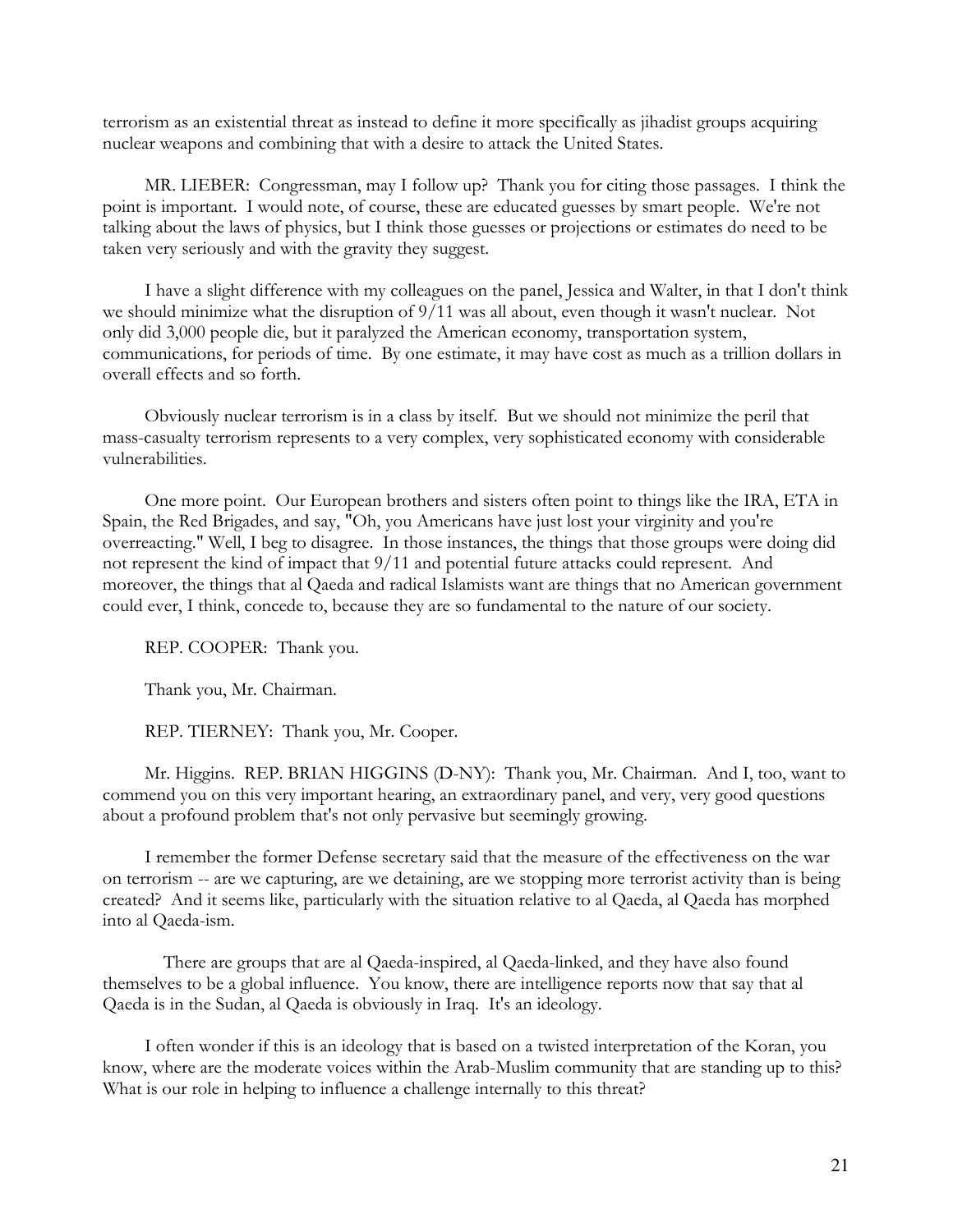terrorism as an existential threat as instead to define it more specifically as jihadist groups acquiring nuclear weapons and combining that with a desire to attack the United States.

 MR. LIEBER: Congressman, may I follow up? Thank you for citing those passages. I think the point is important. I would note, of course, these are educated guesses by smart people. We're not talking about the laws of physics, but I think those guesses or projections or estimates do need to be taken very seriously and with the gravity they suggest.

 I have a slight difference with my colleagues on the panel, Jessica and Walter, in that I don't think we should minimize what the disruption of 9/11 was all about, even though it wasn't nuclear. Not only did 3,000 people die, but it paralyzed the American economy, transportation system, communications, for periods of time. By one estimate, it may have cost as much as a trillion dollars in overall effects and so forth.

 Obviously nuclear terrorism is in a class by itself. But we should not minimize the peril that mass-casualty terrorism represents to a very complex, very sophisticated economy with considerable vulnerabilities.

 One more point. Our European brothers and sisters often point to things like the IRA, ETA in Spain, the Red Brigades, and say, "Oh, you Americans have just lost your virginity and you're overreacting." Well, I beg to disagree. In those instances, the things that those groups were doing did not represent the kind of impact that 9/11 and potential future attacks could represent. And moreover, the things that al Qaeda and radical Islamists want are things that no American government could ever, I think, concede to, because they are so fundamental to the nature of our society.

REP. COOPER: Thank you.

Thank you, Mr. Chairman.

REP. TIERNEY: Thank you, Mr. Cooper.

 Mr. Higgins. REP. BRIAN HIGGINS (D-NY): Thank you, Mr. Chairman. And I, too, want to commend you on this very important hearing, an extraordinary panel, and very, very good questions about a profound problem that's not only pervasive but seemingly growing.

 I remember the former Defense secretary said that the measure of the effectiveness on the war on terrorism -- are we capturing, are we detaining, are we stopping more terrorist activity than is being created? And it seems like, particularly with the situation relative to al Qaeda, al Qaeda has morphed into al Qaeda-ism.

 There are groups that are al Qaeda-inspired, al Qaeda-linked, and they have also found themselves to be a global influence. You know, there are intelligence reports now that say that al Qaeda is in the Sudan, al Qaeda is obviously in Iraq. It's an ideology.

 I often wonder if this is an ideology that is based on a twisted interpretation of the Koran, you know, where are the moderate voices within the Arab-Muslim community that are standing up to this? What is our role in helping to influence a challenge internally to this threat?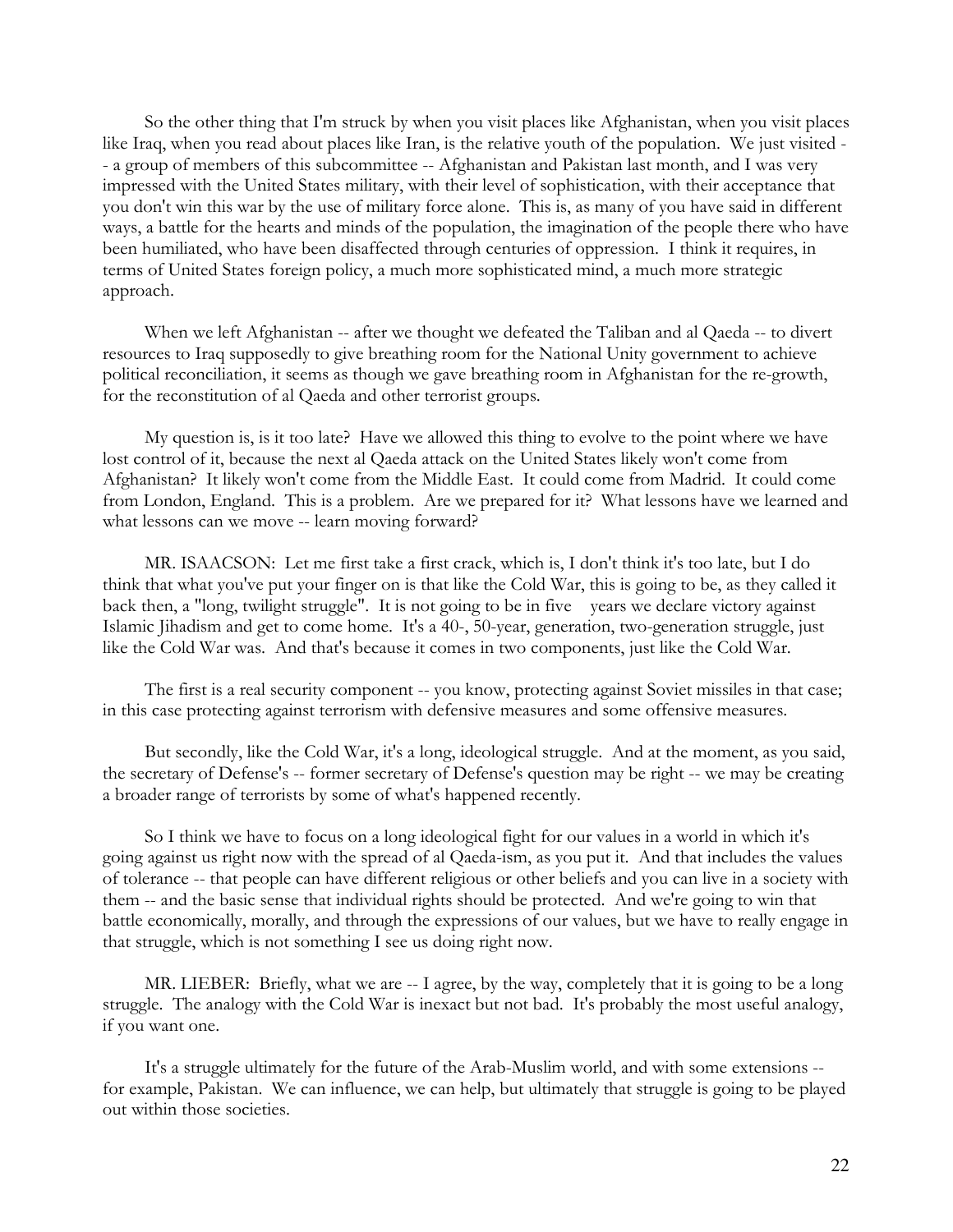So the other thing that I'm struck by when you visit places like Afghanistan, when you visit places like Iraq, when you read about places like Iran, is the relative youth of the population. We just visited - - a group of members of this subcommittee -- Afghanistan and Pakistan last month, and I was very impressed with the United States military, with their level of sophistication, with their acceptance that you don't win this war by the use of military force alone. This is, as many of you have said in different ways, a battle for the hearts and minds of the population, the imagination of the people there who have been humiliated, who have been disaffected through centuries of oppression. I think it requires, in terms of United States foreign policy, a much more sophisticated mind, a much more strategic approach.

 When we left Afghanistan -- after we thought we defeated the Taliban and al Qaeda -- to divert resources to Iraq supposedly to give breathing room for the National Unity government to achieve political reconciliation, it seems as though we gave breathing room in Afghanistan for the re-growth, for the reconstitution of al Qaeda and other terrorist groups.

 My question is, is it too late? Have we allowed this thing to evolve to the point where we have lost control of it, because the next al Qaeda attack on the United States likely won't come from Afghanistan? It likely won't come from the Middle East. It could come from Madrid. It could come from London, England. This is a problem. Are we prepared for it? What lessons have we learned and what lessons can we move -- learn moving forward?

 MR. ISAACSON: Let me first take a first crack, which is, I don't think it's too late, but I do think that what you've put your finger on is that like the Cold War, this is going to be, as they called it back then, a "long, twilight struggle". It is not going to be in five years we declare victory against Islamic Jihadism and get to come home. It's a 40-, 50-year, generation, two-generation struggle, just like the Cold War was. And that's because it comes in two components, just like the Cold War.

 The first is a real security component -- you know, protecting against Soviet missiles in that case; in this case protecting against terrorism with defensive measures and some offensive measures.

 But secondly, like the Cold War, it's a long, ideological struggle. And at the moment, as you said, the secretary of Defense's -- former secretary of Defense's question may be right -- we may be creating a broader range of terrorists by some of what's happened recently.

 So I think we have to focus on a long ideological fight for our values in a world in which it's going against us right now with the spread of al Qaeda-ism, as you put it. And that includes the values of tolerance -- that people can have different religious or other beliefs and you can live in a society with them -- and the basic sense that individual rights should be protected. And we're going to win that battle economically, morally, and through the expressions of our values, but we have to really engage in that struggle, which is not something I see us doing right now.

MR. LIEBER: Briefly, what we are -- I agree, by the way, completely that it is going to be a long struggle. The analogy with the Cold War is inexact but not bad. It's probably the most useful analogy, if you want one.

 It's a struggle ultimately for the future of the Arab-Muslim world, and with some extensions - for example, Pakistan. We can influence, we can help, but ultimately that struggle is going to be played out within those societies.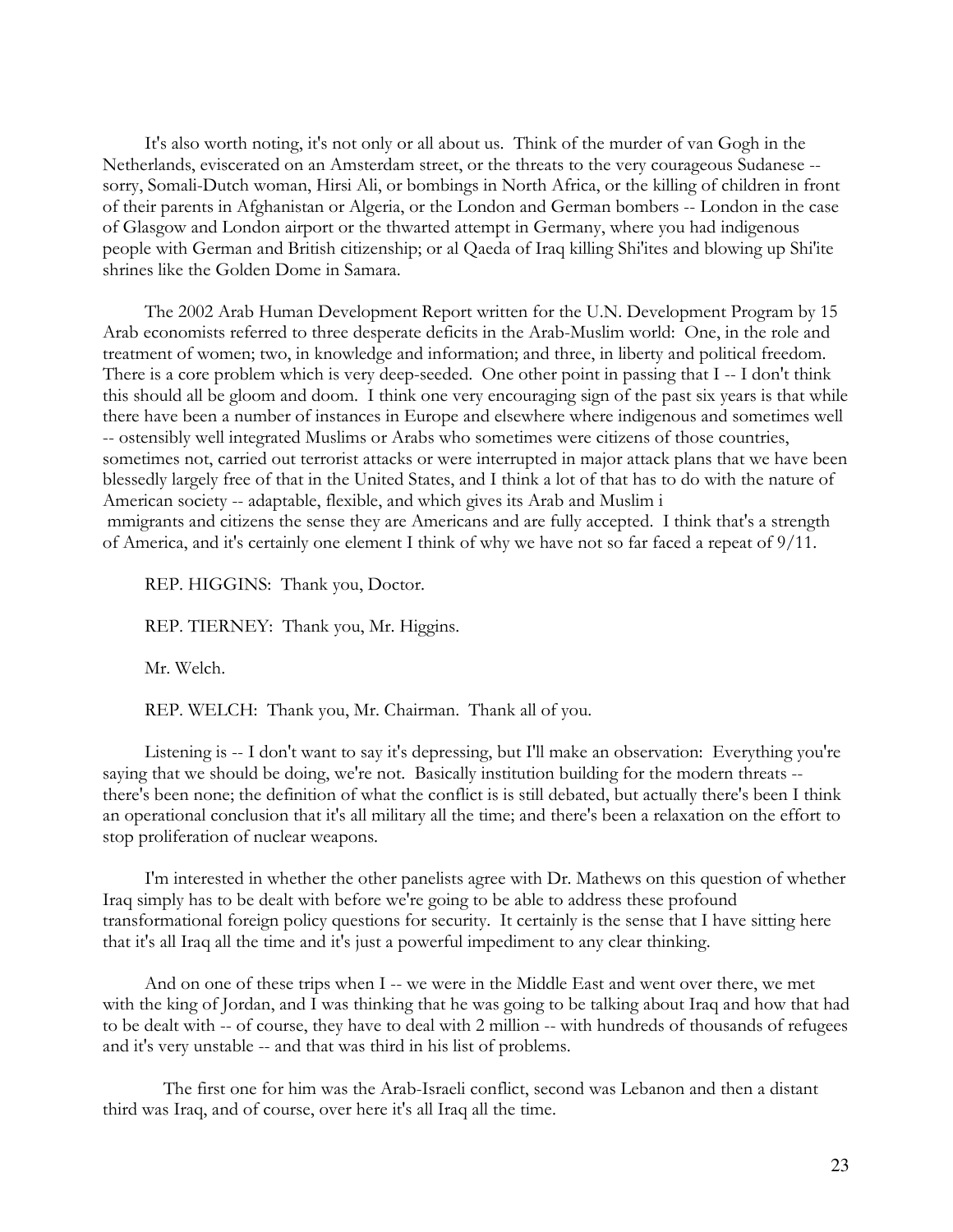It's also worth noting, it's not only or all about us. Think of the murder of van Gogh in the Netherlands, eviscerated on an Amsterdam street, or the threats to the very courageous Sudanese - sorry, Somali-Dutch woman, Hirsi Ali, or bombings in North Africa, or the killing of children in front of their parents in Afghanistan or Algeria, or the London and German bombers -- London in the case of Glasgow and London airport or the thwarted attempt in Germany, where you had indigenous people with German and British citizenship; or al Qaeda of Iraq killing Shi'ites and blowing up Shi'ite shrines like the Golden Dome in Samara.

 The 2002 Arab Human Development Report written for the U.N. Development Program by 15 Arab economists referred to three desperate deficits in the Arab-Muslim world: One, in the role and treatment of women; two, in knowledge and information; and three, in liberty and political freedom. There is a core problem which is very deep-seeded. One other point in passing that I -- I don't think this should all be gloom and doom. I think one very encouraging sign of the past six years is that while there have been a number of instances in Europe and elsewhere where indigenous and sometimes well -- ostensibly well integrated Muslims or Arabs who sometimes were citizens of those countries, sometimes not, carried out terrorist attacks or were interrupted in major attack plans that we have been blessedly largely free of that in the United States, and I think a lot of that has to do with the nature of American society -- adaptable, flexible, and which gives its Arab and Muslim i mmigrants and citizens the sense they are Americans and are fully accepted. I think that's a strength of America, and it's certainly one element I think of why we have not so far faced a repeat of 9/11.

REP. HIGGINS: Thank you, Doctor.

REP. TIERNEY: Thank you, Mr. Higgins.

Mr. Welch.

REP. WELCH: Thank you, Mr. Chairman. Thank all of you.

 Listening is -- I don't want to say it's depressing, but I'll make an observation: Everything you're saying that we should be doing, we're not. Basically institution building for the modern threats -there's been none; the definition of what the conflict is is still debated, but actually there's been I think an operational conclusion that it's all military all the time; and there's been a relaxation on the effort to stop proliferation of nuclear weapons.

 I'm interested in whether the other panelists agree with Dr. Mathews on this question of whether Iraq simply has to be dealt with before we're going to be able to address these profound transformational foreign policy questions for security. It certainly is the sense that I have sitting here that it's all Iraq all the time and it's just a powerful impediment to any clear thinking.

 And on one of these trips when I -- we were in the Middle East and went over there, we met with the king of Jordan, and I was thinking that he was going to be talking about Iraq and how that had to be dealt with -- of course, they have to deal with 2 million -- with hundreds of thousands of refugees and it's very unstable -- and that was third in his list of problems.

 The first one for him was the Arab-Israeli conflict, second was Lebanon and then a distant third was Iraq, and of course, over here it's all Iraq all the time.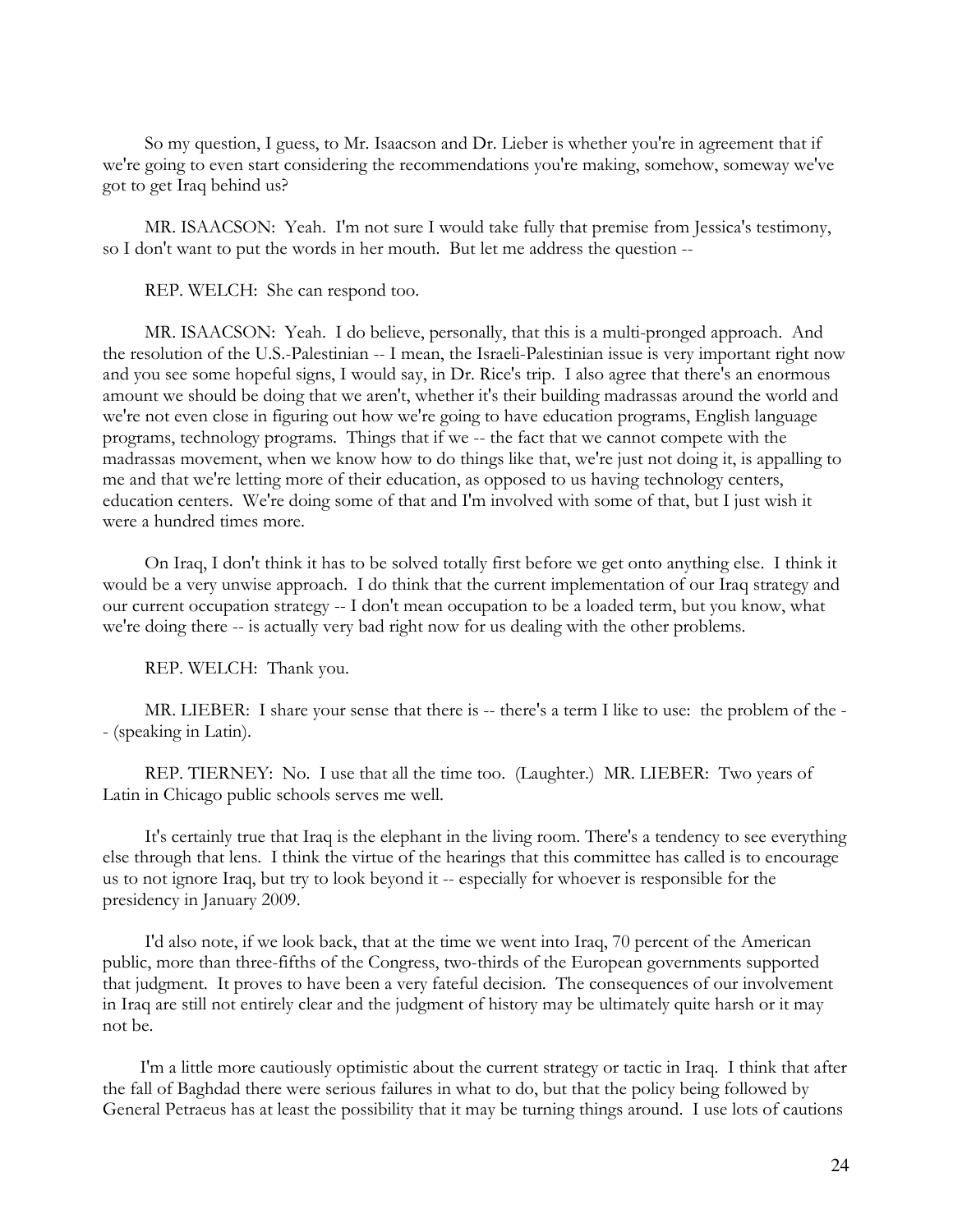So my question, I guess, to Mr. Isaacson and Dr. Lieber is whether you're in agreement that if we're going to even start considering the recommendations you're making, somehow, someway we've got to get Iraq behind us?

 MR. ISAACSON: Yeah. I'm not sure I would take fully that premise from Jessica's testimony, so I don't want to put the words in her mouth. But let me address the question --

REP. WELCH: She can respond too.

 MR. ISAACSON: Yeah. I do believe, personally, that this is a multi-pronged approach. And the resolution of the U.S.-Palestinian -- I mean, the Israeli-Palestinian issue is very important right now and you see some hopeful signs, I would say, in Dr. Rice's trip. I also agree that there's an enormous amount we should be doing that we aren't, whether it's their building madrassas around the world and we're not even close in figuring out how we're going to have education programs, English language programs, technology programs. Things that if we -- the fact that we cannot compete with the madrassas movement, when we know how to do things like that, we're just not doing it, is appalling to me and that we're letting more of their education, as opposed to us having technology centers, education centers. We're doing some of that and I'm involved with some of that, but I just wish it were a hundred times more.

 On Iraq, I don't think it has to be solved totally first before we get onto anything else. I think it would be a very unwise approach. I do think that the current implementation of our Iraq strategy and our current occupation strategy -- I don't mean occupation to be a loaded term, but you know, what we're doing there -- is actually very bad right now for us dealing with the other problems.

REP. WELCH: Thank you.

MR. LIEBER: I share your sense that there is -- there's a term I like to use: the problem of the -- (speaking in Latin).

 REP. TIERNEY: No. I use that all the time too. (Laughter.) MR. LIEBER: Two years of Latin in Chicago public schools serves me well.

 It's certainly true that Iraq is the elephant in the living room. There's a tendency to see everything else through that lens. I think the virtue of the hearings that this committee has called is to encourage us to not ignore Iraq, but try to look beyond it -- especially for whoever is responsible for the presidency in January 2009.

 I'd also note, if we look back, that at the time we went into Iraq, 70 percent of the American public, more than three-fifths of the Congress, two-thirds of the European governments supported that judgment. It proves to have been a very fateful decision. The consequences of our involvement in Iraq are still not entirely clear and the judgment of history may be ultimately quite harsh or it may not be.

 I'm a little more cautiously optimistic about the current strategy or tactic in Iraq. I think that after the fall of Baghdad there were serious failures in what to do, but that the policy being followed by General Petraeus has at least the possibility that it may be turning things around. I use lots of cautions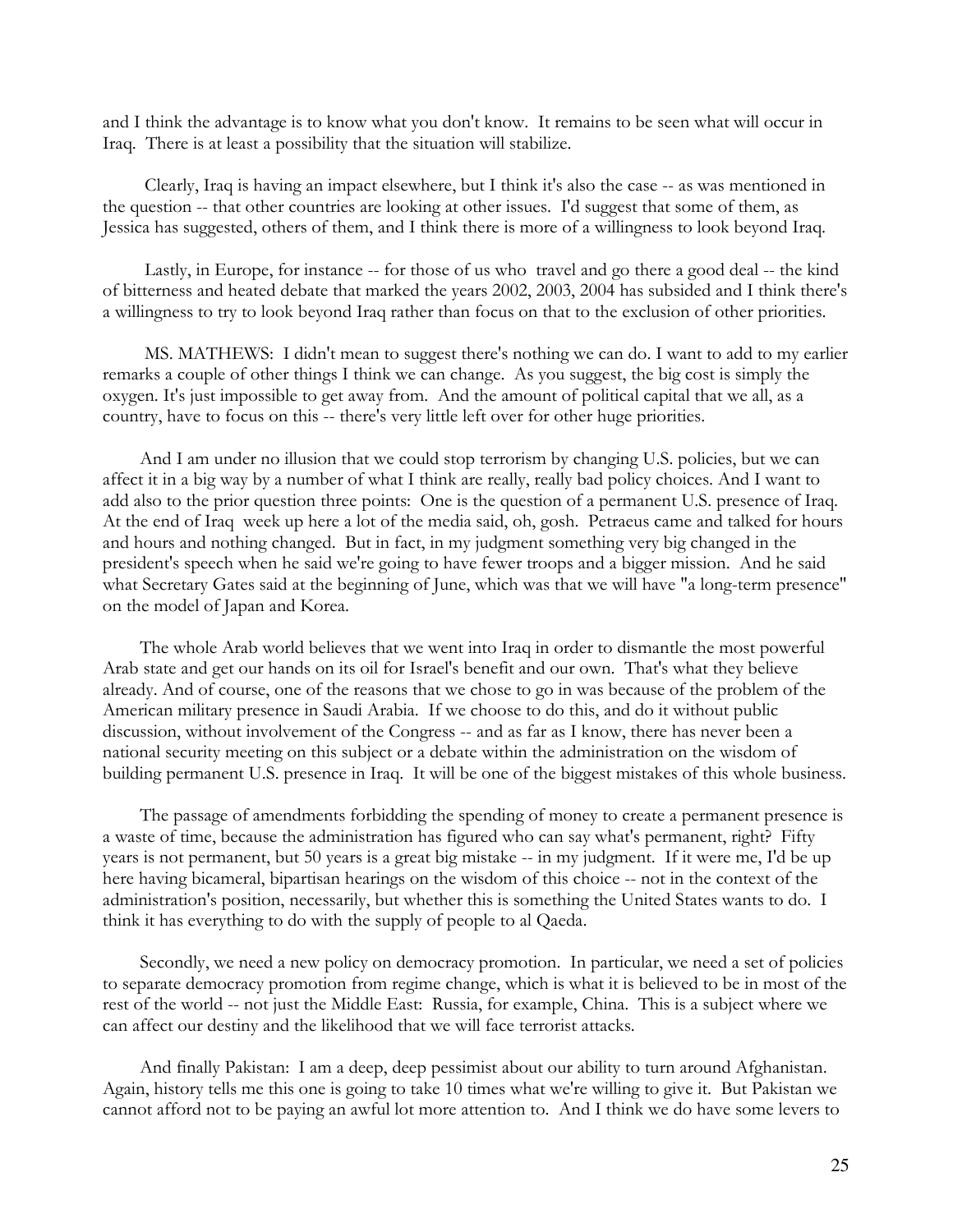and I think the advantage is to know what you don't know. It remains to be seen what will occur in Iraq. There is at least a possibility that the situation will stabilize.

 Clearly, Iraq is having an impact elsewhere, but I think it's also the case -- as was mentioned in the question -- that other countries are looking at other issues. I'd suggest that some of them, as Jessica has suggested, others of them, and I think there is more of a willingness to look beyond Iraq.

 Lastly, in Europe, for instance -- for those of us who travel and go there a good deal -- the kind of bitterness and heated debate that marked the years 2002, 2003, 2004 has subsided and I think there's a willingness to try to look beyond Iraq rather than focus on that to the exclusion of other priorities.

 MS. MATHEWS: I didn't mean to suggest there's nothing we can do. I want to add to my earlier remarks a couple of other things I think we can change. As you suggest, the big cost is simply the oxygen. It's just impossible to get away from. And the amount of political capital that we all, as a country, have to focus on this -- there's very little left over for other huge priorities.

 And I am under no illusion that we could stop terrorism by changing U.S. policies, but we can affect it in a big way by a number of what I think are really, really bad policy choices. And I want to add also to the prior question three points: One is the question of a permanent U.S. presence of Iraq. At the end of Iraq week up here a lot of the media said, oh, gosh. Petraeus came and talked for hours and hours and nothing changed. But in fact, in my judgment something very big changed in the president's speech when he said we're going to have fewer troops and a bigger mission. And he said what Secretary Gates said at the beginning of June, which was that we will have "a long-term presence" on the model of Japan and Korea.

 The whole Arab world believes that we went into Iraq in order to dismantle the most powerful Arab state and get our hands on its oil for Israel's benefit and our own. That's what they believe already. And of course, one of the reasons that we chose to go in was because of the problem of the American military presence in Saudi Arabia. If we choose to do this, and do it without public discussion, without involvement of the Congress -- and as far as I know, there has never been a national security meeting on this subject or a debate within the administration on the wisdom of building permanent U.S. presence in Iraq. It will be one of the biggest mistakes of this whole business.

 The passage of amendments forbidding the spending of money to create a permanent presence is a waste of time, because the administration has figured who can say what's permanent, right? Fifty years is not permanent, but 50 years is a great big mistake -- in my judgment. If it were me, I'd be up here having bicameral, bipartisan hearings on the wisdom of this choice -- not in the context of the administration's position, necessarily, but whether this is something the United States wants to do. I think it has everything to do with the supply of people to al Qaeda.

 Secondly, we need a new policy on democracy promotion. In particular, we need a set of policies to separate democracy promotion from regime change, which is what it is believed to be in most of the rest of the world -- not just the Middle East: Russia, for example, China. This is a subject where we can affect our destiny and the likelihood that we will face terrorist attacks.

 And finally Pakistan: I am a deep, deep pessimist about our ability to turn around Afghanistan. Again, history tells me this one is going to take 10 times what we're willing to give it. But Pakistan we cannot afford not to be paying an awful lot more attention to. And I think we do have some levers to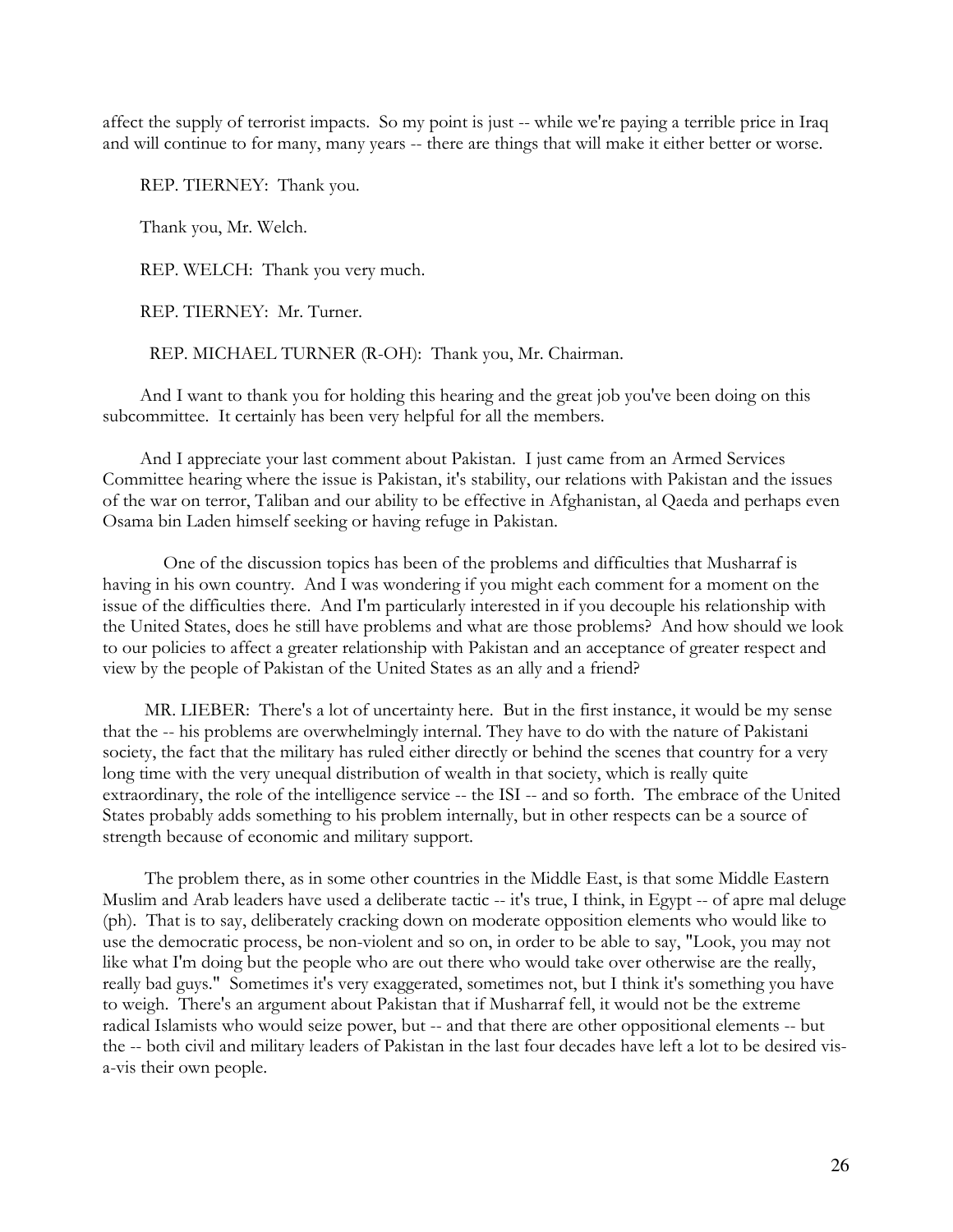affect the supply of terrorist impacts. So my point is just -- while we're paying a terrible price in Iraq and will continue to for many, many years -- there are things that will make it either better or worse.

REP. TIERNEY: Thank you.

Thank you, Mr. Welch.

REP. WELCH: Thank you very much.

REP. TIERNEY: Mr. Turner.

REP. MICHAEL TURNER (R-OH): Thank you, Mr. Chairman.

 And I want to thank you for holding this hearing and the great job you've been doing on this subcommittee. It certainly has been very helpful for all the members.

 And I appreciate your last comment about Pakistan. I just came from an Armed Services Committee hearing where the issue is Pakistan, it's stability, our relations with Pakistan and the issues of the war on terror, Taliban and our ability to be effective in Afghanistan, al Qaeda and perhaps even Osama bin Laden himself seeking or having refuge in Pakistan.

 One of the discussion topics has been of the problems and difficulties that Musharraf is having in his own country. And I was wondering if you might each comment for a moment on the issue of the difficulties there. And I'm particularly interested in if you decouple his relationship with the United States, does he still have problems and what are those problems? And how should we look to our policies to affect a greater relationship with Pakistan and an acceptance of greater respect and view by the people of Pakistan of the United States as an ally and a friend?

 MR. LIEBER: There's a lot of uncertainty here. But in the first instance, it would be my sense that the -- his problems are overwhelmingly internal. They have to do with the nature of Pakistani society, the fact that the military has ruled either directly or behind the scenes that country for a very long time with the very unequal distribution of wealth in that society, which is really quite extraordinary, the role of the intelligence service -- the ISI -- and so forth. The embrace of the United States probably adds something to his problem internally, but in other respects can be a source of strength because of economic and military support.

 The problem there, as in some other countries in the Middle East, is that some Middle Eastern Muslim and Arab leaders have used a deliberate tactic -- it's true, I think, in Egypt -- of apre mal deluge (ph). That is to say, deliberately cracking down on moderate opposition elements who would like to use the democratic process, be non-violent and so on, in order to be able to say, "Look, you may not like what I'm doing but the people who are out there who would take over otherwise are the really, really bad guys." Sometimes it's very exaggerated, sometimes not, but I think it's something you have to weigh. There's an argument about Pakistan that if Musharraf fell, it would not be the extreme radical Islamists who would seize power, but -- and that there are other oppositional elements -- but the -- both civil and military leaders of Pakistan in the last four decades have left a lot to be desired visa-vis their own people.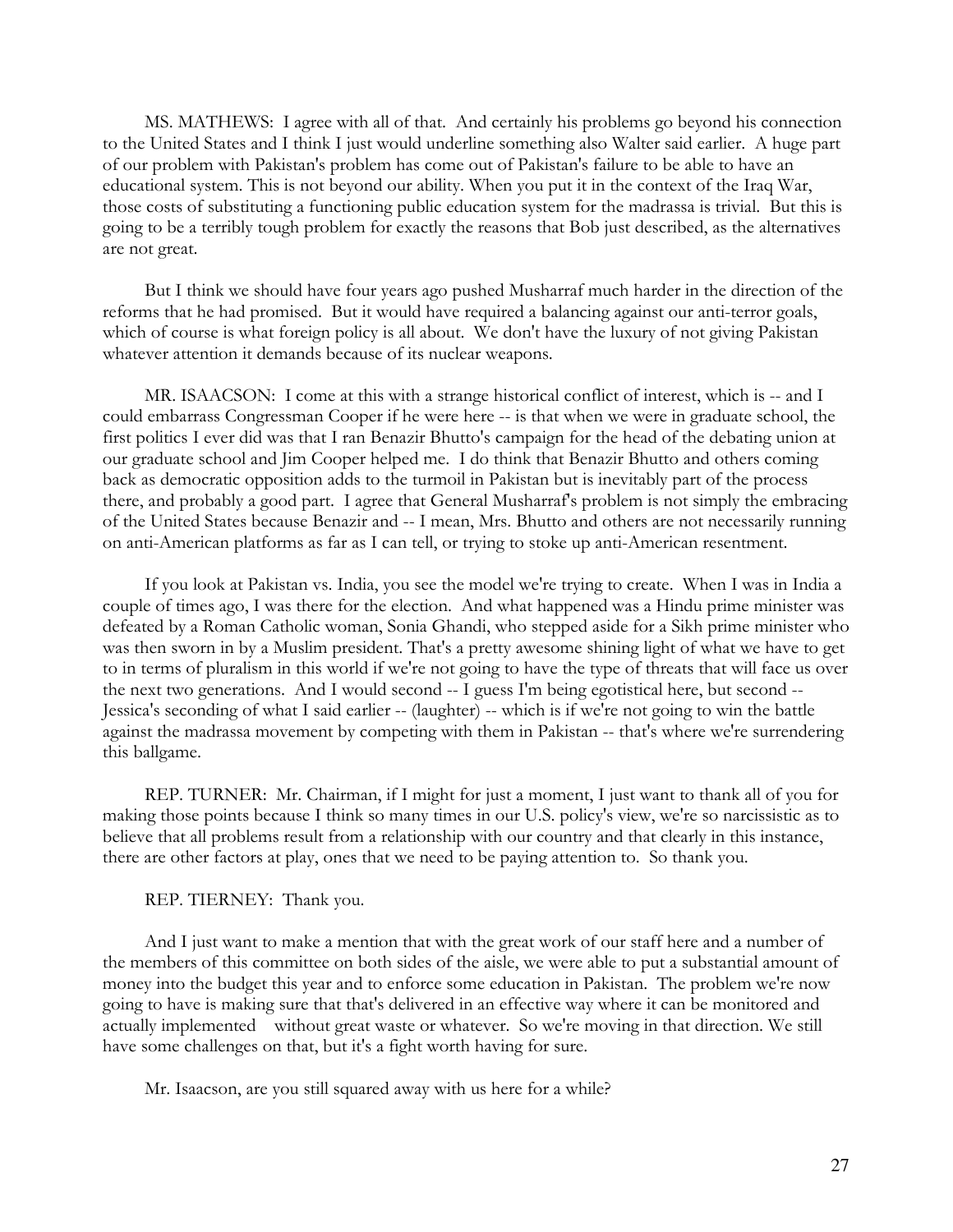MS. MATHEWS: I agree with all of that. And certainly his problems go beyond his connection to the United States and I think I just would underline something also Walter said earlier. A huge part of our problem with Pakistan's problem has come out of Pakistan's failure to be able to have an educational system. This is not beyond our ability. When you put it in the context of the Iraq War, those costs of substituting a functioning public education system for the madrassa is trivial. But this is going to be a terribly tough problem for exactly the reasons that Bob just described, as the alternatives are not great.

 But I think we should have four years ago pushed Musharraf much harder in the direction of the reforms that he had promised. But it would have required a balancing against our anti-terror goals, which of course is what foreign policy is all about. We don't have the luxury of not giving Pakistan whatever attention it demands because of its nuclear weapons.

MR. ISAACSON: I come at this with a strange historical conflict of interest, which is -- and I could embarrass Congressman Cooper if he were here -- is that when we were in graduate school, the first politics I ever did was that I ran Benazir Bhutto's campaign for the head of the debating union at our graduate school and Jim Cooper helped me. I do think that Benazir Bhutto and others coming back as democratic opposition adds to the turmoil in Pakistan but is inevitably part of the process there, and probably a good part. I agree that General Musharraf's problem is not simply the embracing of the United States because Benazir and -- I mean, Mrs. Bhutto and others are not necessarily running on anti-American platforms as far as I can tell, or trying to stoke up anti-American resentment.

 If you look at Pakistan vs. India, you see the model we're trying to create. When I was in India a couple of times ago, I was there for the election. And what happened was a Hindu prime minister was defeated by a Roman Catholic woman, Sonia Ghandi, who stepped aside for a Sikh prime minister who was then sworn in by a Muslim president. That's a pretty awesome shining light of what we have to get to in terms of pluralism in this world if we're not going to have the type of threats that will face us over the next two generations. And I would second -- I guess I'm being egotistical here, but second -- Jessica's seconding of what I said earlier -- (laughter) -- which is if we're not going to win the battle against the madrassa movement by competing with them in Pakistan -- that's where we're surrendering this ballgame.

 REP. TURNER: Mr. Chairman, if I might for just a moment, I just want to thank all of you for making those points because I think so many times in our U.S. policy's view, we're so narcissistic as to believe that all problems result from a relationship with our country and that clearly in this instance, there are other factors at play, ones that we need to be paying attention to. So thank you.

REP. TIERNEY: Thank you.

 And I just want to make a mention that with the great work of our staff here and a number of the members of this committee on both sides of the aisle, we were able to put a substantial amount of money into the budget this year and to enforce some education in Pakistan. The problem we're now going to have is making sure that that's delivered in an effective way where it can be monitored and actually implemented without great waste or whatever. So we're moving in that direction. We still have some challenges on that, but it's a fight worth having for sure.

Mr. Isaacson, are you still squared away with us here for a while?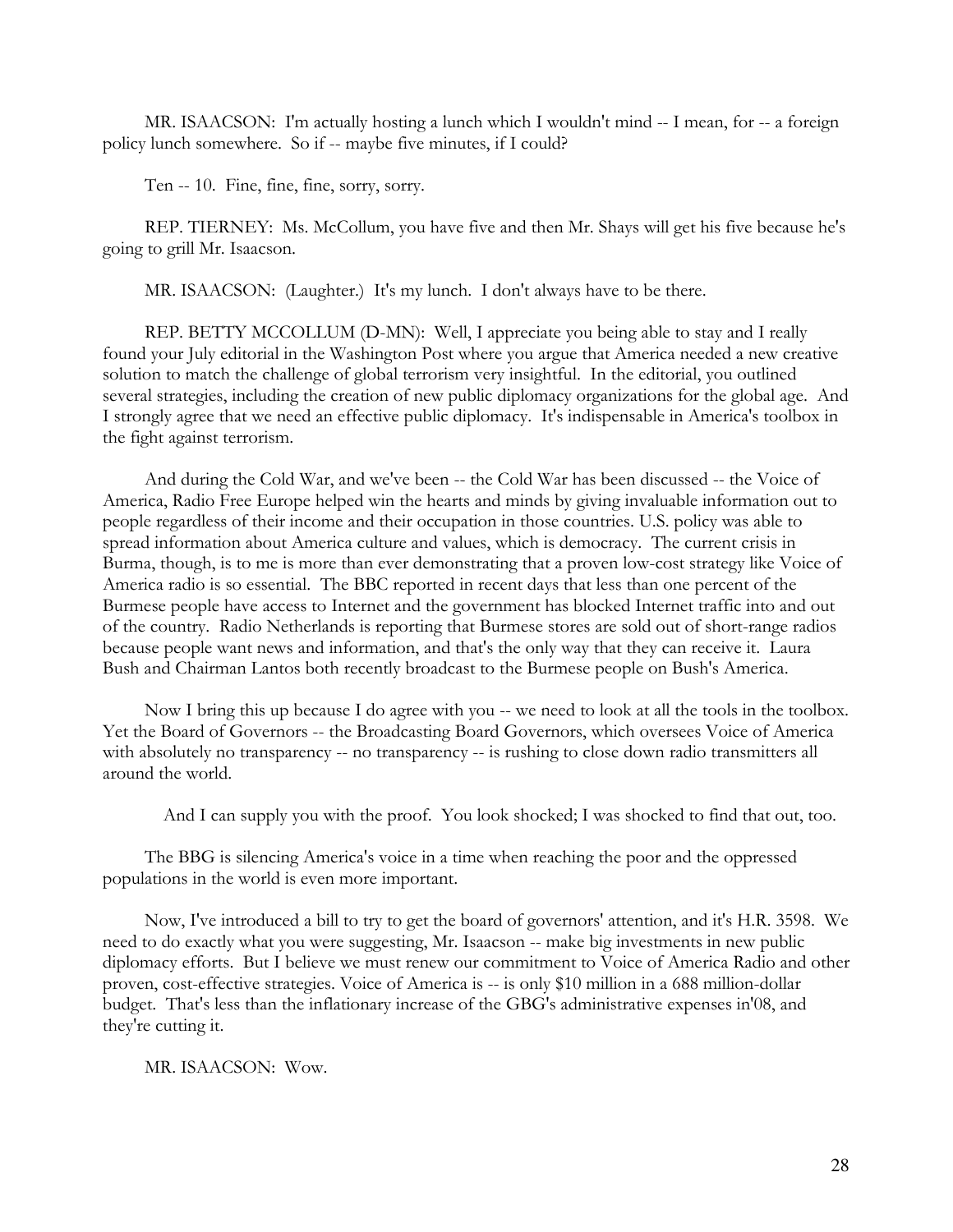MR. ISAACSON: I'm actually hosting a lunch which I wouldn't mind -- I mean, for -- a foreign policy lunch somewhere. So if -- maybe five minutes, if I could?

Ten -- 10. Fine, fine, fine, sorry, sorry.

 REP. TIERNEY: Ms. McCollum, you have five and then Mr. Shays will get his five because he's going to grill Mr. Isaacson.

MR. ISAACSON: (Laughter.) It's my lunch. I don't always have to be there.

 REP. BETTY MCCOLLUM (D-MN): Well, I appreciate you being able to stay and I really found your July editorial in the Washington Post where you argue that America needed a new creative solution to match the challenge of global terrorism very insightful. In the editorial, you outlined several strategies, including the creation of new public diplomacy organizations for the global age. And I strongly agree that we need an effective public diplomacy. It's indispensable in America's toolbox in the fight against terrorism.

 And during the Cold War, and we've been -- the Cold War has been discussed -- the Voice of America, Radio Free Europe helped win the hearts and minds by giving invaluable information out to people regardless of their income and their occupation in those countries. U.S. policy was able to spread information about America culture and values, which is democracy. The current crisis in Burma, though, is to me is more than ever demonstrating that a proven low-cost strategy like Voice of America radio is so essential. The BBC reported in recent days that less than one percent of the Burmese people have access to Internet and the government has blocked Internet traffic into and out of the country. Radio Netherlands is reporting that Burmese stores are sold out of short-range radios because people want news and information, and that's the only way that they can receive it. Laura Bush and Chairman Lantos both recently broadcast to the Burmese people on Bush's America.

 Now I bring this up because I do agree with you -- we need to look at all the tools in the toolbox. Yet the Board of Governors -- the Broadcasting Board Governors, which oversees Voice of America with absolutely no transparency -- no transparency -- is rushing to close down radio transmitters all around the world.

And I can supply you with the proof. You look shocked; I was shocked to find that out, too.

 The BBG is silencing America's voice in a time when reaching the poor and the oppressed populations in the world is even more important.

 Now, I've introduced a bill to try to get the board of governors' attention, and it's H.R. 3598. We need to do exactly what you were suggesting, Mr. Isaacson -- make big investments in new public diplomacy efforts. But I believe we must renew our commitment to Voice of America Radio and other proven, cost-effective strategies. Voice of America is -- is only \$10 million in a 688 million-dollar budget. That's less than the inflationary increase of the GBG's administrative expenses in'08, and they're cutting it.

MR. ISAACSON: Wow.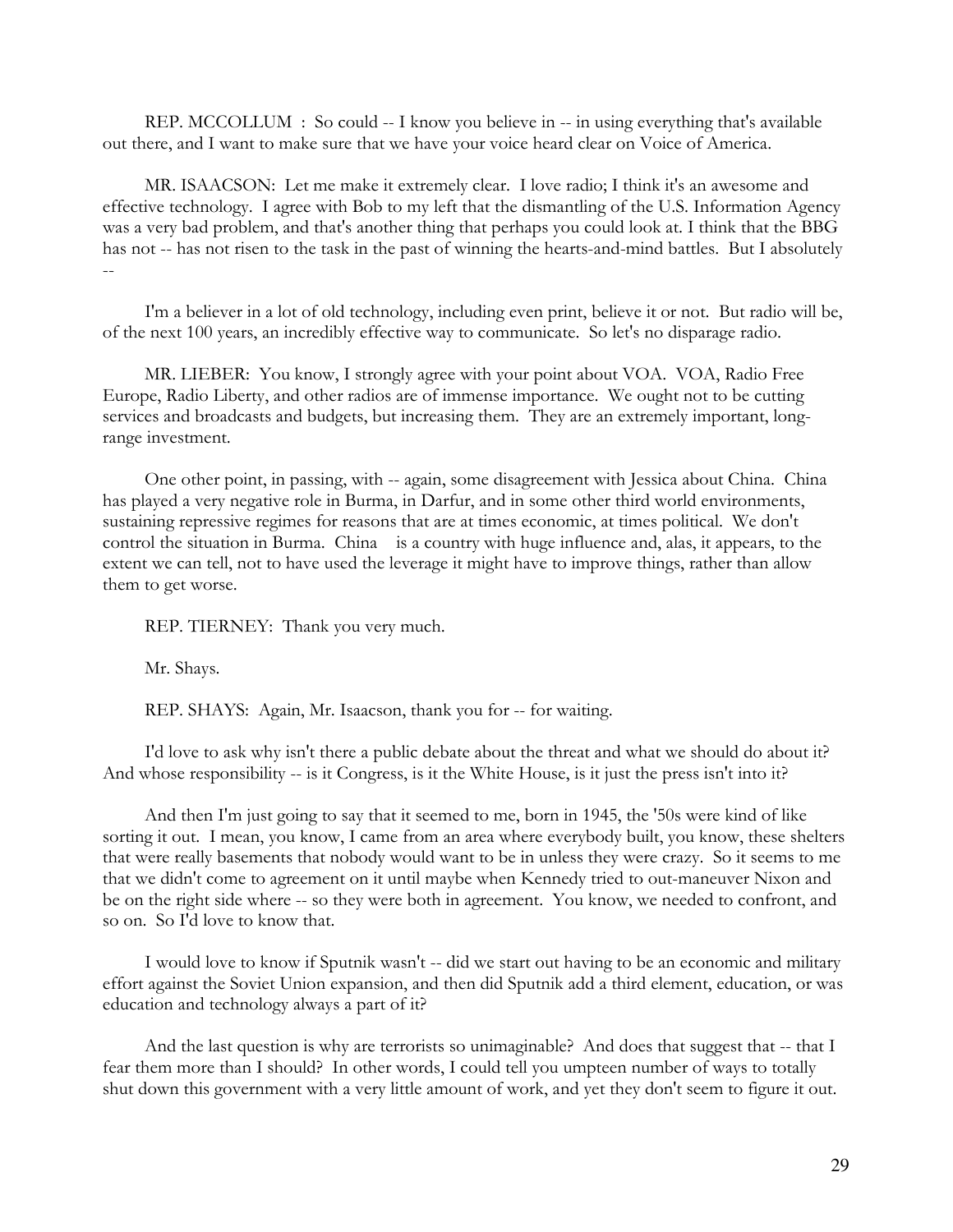REP. MCCOLLUM : So could -- I know you believe in -- in using everything that's available out there, and I want to make sure that we have your voice heard clear on Voice of America.

 MR. ISAACSON: Let me make it extremely clear. I love radio; I think it's an awesome and effective technology. I agree with Bob to my left that the dismantling of the U.S. Information Agency was a very bad problem, and that's another thing that perhaps you could look at. I think that the BBG has not -- has not risen to the task in the past of winning the hearts-and-mind battles. But I absolutely --

 I'm a believer in a lot of old technology, including even print, believe it or not. But radio will be, of the next 100 years, an incredibly effective way to communicate. So let's no disparage radio.

 MR. LIEBER: You know, I strongly agree with your point about VOA. VOA, Radio Free Europe, Radio Liberty, and other radios are of immense importance. We ought not to be cutting services and broadcasts and budgets, but increasing them. They are an extremely important, longrange investment.

 One other point, in passing, with -- again, some disagreement with Jessica about China. China has played a very negative role in Burma, in Darfur, and in some other third world environments, sustaining repressive regimes for reasons that are at times economic, at times political. We don't control the situation in Burma. China is a country with huge influence and, alas, it appears, to the extent we can tell, not to have used the leverage it might have to improve things, rather than allow them to get worse.

REP. TIERNEY: Thank you very much.

Mr. Shays.

REP. SHAYS: Again, Mr. Isaacson, thank you for -- for waiting.

 I'd love to ask why isn't there a public debate about the threat and what we should do about it? And whose responsibility -- is it Congress, is it the White House, is it just the press isn't into it?

 And then I'm just going to say that it seemed to me, born in 1945, the '50s were kind of like sorting it out. I mean, you know, I came from an area where everybody built, you know, these shelters that were really basements that nobody would want to be in unless they were crazy. So it seems to me that we didn't come to agreement on it until maybe when Kennedy tried to out-maneuver Nixon and be on the right side where -- so they were both in agreement. You know, we needed to confront, and so on. So I'd love to know that.

 I would love to know if Sputnik wasn't -- did we start out having to be an economic and military effort against the Soviet Union expansion, and then did Sputnik add a third element, education, or was education and technology always a part of it?

And the last question is why are terrorists so unimaginable? And does that suggest that -- that I fear them more than I should? In other words, I could tell you umpteen number of ways to totally shut down this government with a very little amount of work, and yet they don't seem to figure it out.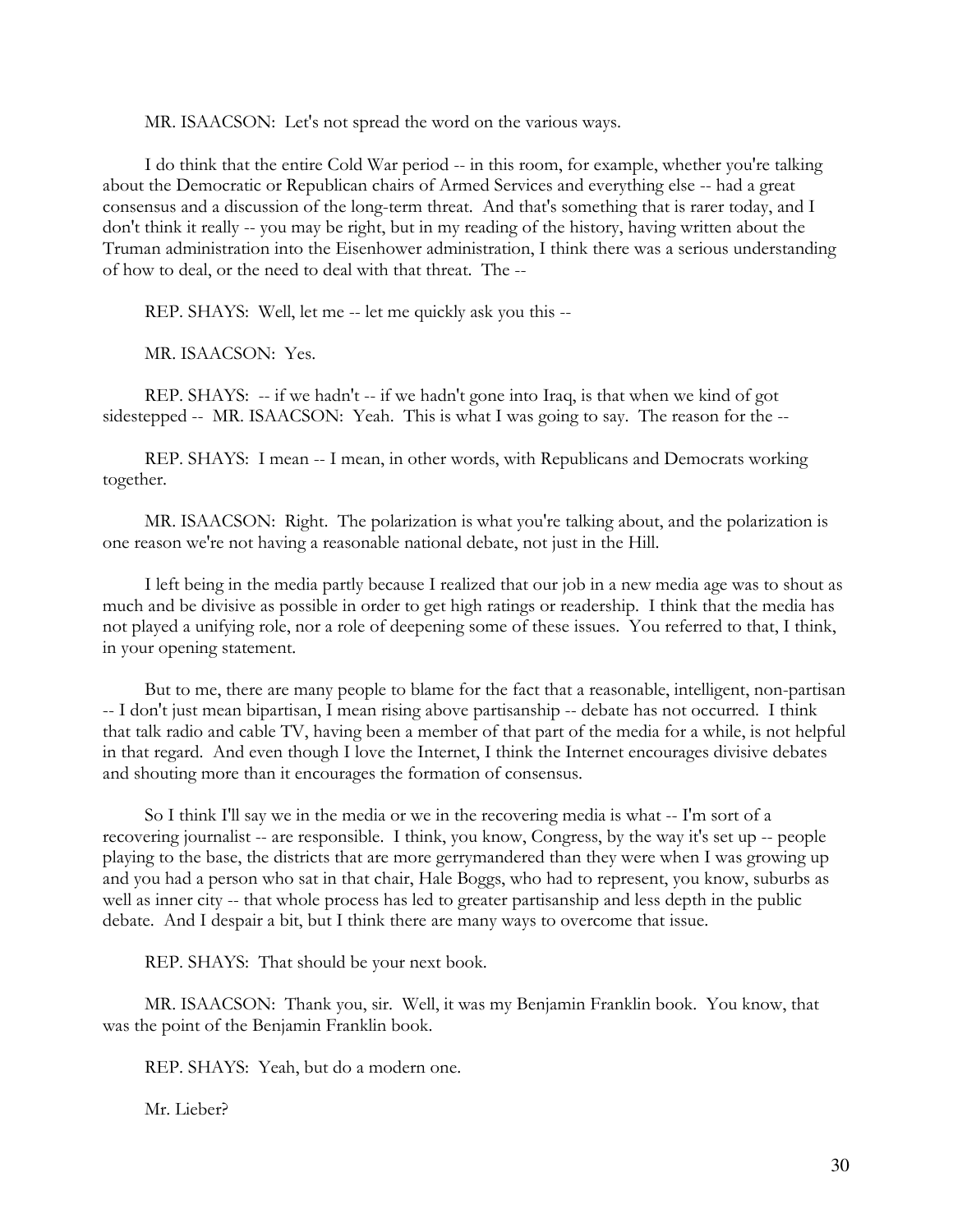MR. ISAACSON: Let's not spread the word on the various ways.

 I do think that the entire Cold War period -- in this room, for example, whether you're talking about the Democratic or Republican chairs of Armed Services and everything else -- had a great consensus and a discussion of the long-term threat. And that's something that is rarer today, and I don't think it really -- you may be right, but in my reading of the history, having written about the Truman administration into the Eisenhower administration, I think there was a serious understanding of how to deal, or the need to deal with that threat. The --

REP. SHAYS: Well, let me -- let me quickly ask you this --

MR. ISAACSON: Yes.

REP. SHAYS: -- if we hadn't -- if we hadn't gone into Iraq, is that when we kind of got sidestepped -- MR. ISAACSON: Yeah. This is what I was going to say. The reason for the --

 REP. SHAYS: I mean -- I mean, in other words, with Republicans and Democrats working together.

 MR. ISAACSON: Right. The polarization is what you're talking about, and the polarization is one reason we're not having a reasonable national debate, not just in the Hill.

 I left being in the media partly because I realized that our job in a new media age was to shout as much and be divisive as possible in order to get high ratings or readership. I think that the media has not played a unifying role, nor a role of deepening some of these issues. You referred to that, I think, in your opening statement.

 But to me, there are many people to blame for the fact that a reasonable, intelligent, non-partisan -- I don't just mean bipartisan, I mean rising above partisanship -- debate has not occurred. I think that talk radio and cable TV, having been a member of that part of the media for a while, is not helpful in that regard. And even though I love the Internet, I think the Internet encourages divisive debates and shouting more than it encourages the formation of consensus.

 So I think I'll say we in the media or we in the recovering media is what -- I'm sort of a recovering journalist -- are responsible. I think, you know, Congress, by the way it's set up -- people playing to the base, the districts that are more gerrymandered than they were when I was growing up and you had a person who sat in that chair, Hale Boggs, who had to represent, you know, suburbs as well as inner city -- that whole process has led to greater partisanship and less depth in the public debate. And I despair a bit, but I think there are many ways to overcome that issue.

REP. SHAYS: That should be your next book.

 MR. ISAACSON: Thank you, sir. Well, it was my Benjamin Franklin book. You know, that was the point of the Benjamin Franklin book.

REP. SHAYS: Yeah, but do a modern one.

Mr. Lieber?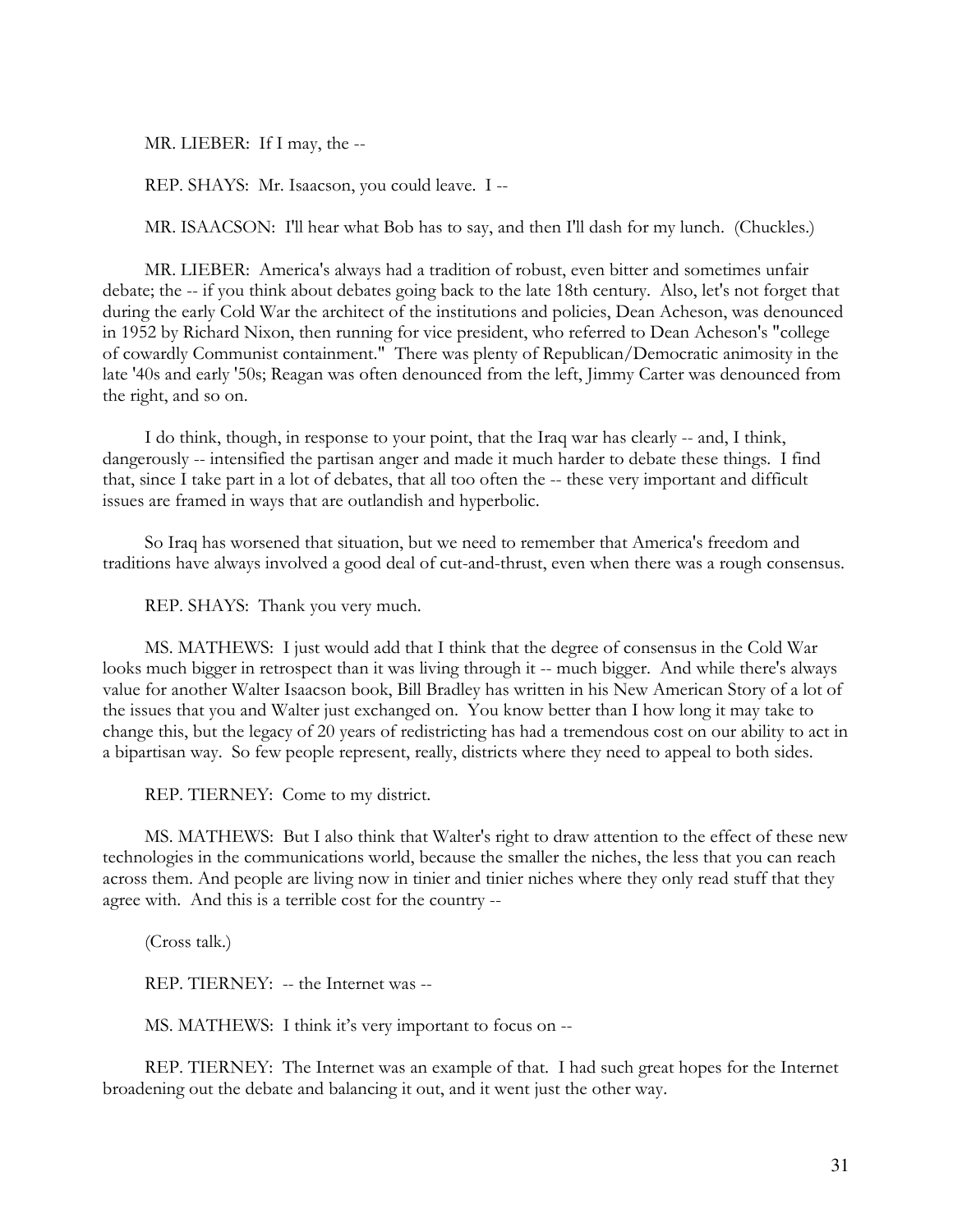MR. LIEBER: If I may, the --

REP. SHAYS: Mr. Isaacson, you could leave. I --

MR. ISAACSON: I'll hear what Bob has to say, and then I'll dash for my lunch. (Chuckles.)

 MR. LIEBER: America's always had a tradition of robust, even bitter and sometimes unfair debate; the -- if you think about debates going back to the late 18th century. Also, let's not forget that during the early Cold War the architect of the institutions and policies, Dean Acheson, was denounced in 1952 by Richard Nixon, then running for vice president, who referred to Dean Acheson's "college of cowardly Communist containment." There was plenty of Republican/Democratic animosity in the late '40s and early '50s; Reagan was often denounced from the left, Jimmy Carter was denounced from the right, and so on.

 I do think, though, in response to your point, that the Iraq war has clearly -- and, I think, dangerously -- intensified the partisan anger and made it much harder to debate these things. I find that, since I take part in a lot of debates, that all too often the -- these very important and difficult issues are framed in ways that are outlandish and hyperbolic.

 So Iraq has worsened that situation, but we need to remember that America's freedom and traditions have always involved a good deal of cut-and-thrust, even when there was a rough consensus.

REP. SHAYS: Thank you very much.

 MS. MATHEWS: I just would add that I think that the degree of consensus in the Cold War looks much bigger in retrospect than it was living through it -- much bigger. And while there's always value for another Walter Isaacson book, Bill Bradley has written in his New American Story of a lot of the issues that you and Walter just exchanged on. You know better than I how long it may take to change this, but the legacy of 20 years of redistricting has had a tremendous cost on our ability to act in a bipartisan way. So few people represent, really, districts where they need to appeal to both sides.

REP. TIERNEY: Come to my district.

 MS. MATHEWS: But I also think that Walter's right to draw attention to the effect of these new technologies in the communications world, because the smaller the niches, the less that you can reach across them. And people are living now in tinier and tinier niches where they only read stuff that they agree with. And this is a terrible cost for the country --

(Cross talk.)

REP. TIERNEY: -- the Internet was --

MS. MATHEWS: I think it's very important to focus on --

 REP. TIERNEY: The Internet was an example of that. I had such great hopes for the Internet broadening out the debate and balancing it out, and it went just the other way.